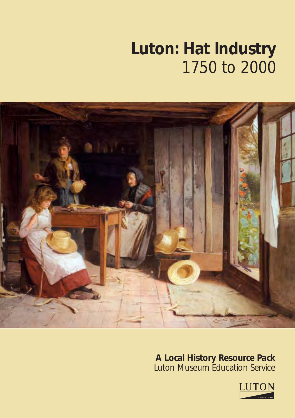# **Luton: Hat Industry** 1750 to 2000



**A Local History Resource Pack** Luton Museum Education Service

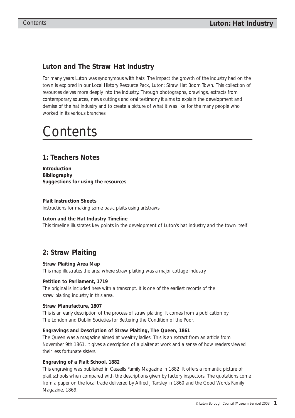# **Luton and The Straw Hat Industry**

For many years Luton was synonymous with hats. The impact the growth of the industry had on the town is explored in our Local History Resource Pack, Luton: Straw Hat Boom Town. This collection of resources delves more deeply into the industry. Through photographs, drawings, extracts from contemporary sources, news cuttings and oral testimony it aims to explain the development and demise of the hat industry and to create a picture of what it was like for the many people who worked in its various branches.

# **Contents**

# **1: Teachers Notes**

**Introduction Bibliography Suggestions for using the resources** 

**Plait Instruction Sheets** Instructions for making some basic plaits using artstraws.

#### **Luton and the Hat Industry Timeline**

This timeline illustrates key points in the development of Luton's hat industry and the town itself.

# **2: Straw Plaiting**

#### **Straw Plaiting Area Map**

This map illustrates the area where straw plaiting was a major cottage industry.

#### **Petition to Parliament, 1719**

The original is included here with a transcript. It is one of the earliest records of the straw plaiting industry in this area.

#### **Straw Manufacture, 1807**

This is an early description of the process of straw plaiting. It comes from a publication by The London and Dublin Societies for Bettering the Condition of the Poor.

#### **Engravings and Description of Straw Plaiting, The Queen, 1861**

The Queen was a magazine aimed at wealthy ladies. This is an extract from an article from November 9th 1861. It gives a description of a plaiter at work and a sense of how readers viewed their less fortunate sisters.

#### **Engraving of a Plait School, 1882**

This engraving was published in Cassells Family Magazine in 1882. It offers a romantic picture of plait schools when compared with the descriptions given by factory inspectors. The quotations come from a paper on the local trade delivered by Alfred J Tansley in 1860 and the Good Words Family Magazine, 1869.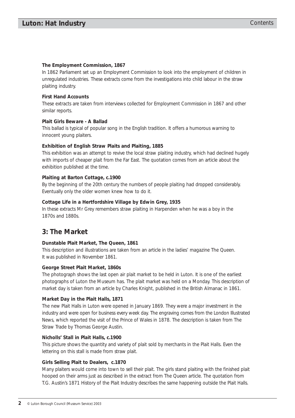## **The Employment Commission, 1867**

In 1862 Parliament set up an Employment Commission to look into the employment of children in unregulated industries. These extracts come from the investigations into child labour in the straw plaiting industry.

#### **First Hand Accounts**

These extracts are taken from interviews collected for Employment Commission in 1867 and other similar reports.

#### **Plait Girls Beware - A Ballad**

This ballad is typical of popular song in the English tradition. It offers a humorous warning to innocent young plaiters.

#### **Exhibition of English Straw Plaits and Plaiting, 1885**

This exhibition was an attempt to revive the local straw plaiting industry, which had declined hugely with imports of cheaper plait from the Far East. The quotation comes from an article about the exhibition published at the time.

## **Plaiting at Barton Cottage, c.1900**

By the beginning of the 20th century the numbers of people plaiting had dropped considerably. Eventually only the older women knew how to do it.

#### **Cottage Life in a Hertfordshire Village by Edwin Grey, 1935**

In these extracts Mr Grey remembers straw plaiting in Harpenden when he was a boy in the 1870s and 1880s.

# **3: The Market**

#### **Dunstable Plait Market, The Queen, 1861**

This description and illustrations are taken from an article in the ladies' magazine The Queen. It was published in November 1861.

#### **George Street Plait Market, 1860s**

The photograph shows the last open air plait market to be held in Luton. It is one of the earliest photographs of Luton the Museum has. The plait market was held on a Monday. This description of market day is taken from an article by Charles Knight, published in the British Almanac in 1861.

#### **Market Day in the Plait Halls, 1871**

The new Plait Halls in Luton were opened in January 1869. They were a major investment in the industry and were open for business every week day. The engraving comes from the London Illustrated News, which reported the visit of the Prince of Wales in 1878. The description is taken from The Straw Trade by Thomas George Austin.

#### **Nicholls' Stall in Plait Halls, c.1900**

This picture shows the quantity and variety of plait sold by merchants in the Plait Halls. Even the lettering on this stall is made from straw plait.

# **Girls Selling Plait to Dealers, c.1870**

Many plaiters would come into town to sell their plait. The girls stand plaiting with the finished plait hooped on their arms just as described in the extract from The Queen article. The quotation from T.G. Austin's 1871 History of the Plait Industry describes the same happening outside the Plait Halls.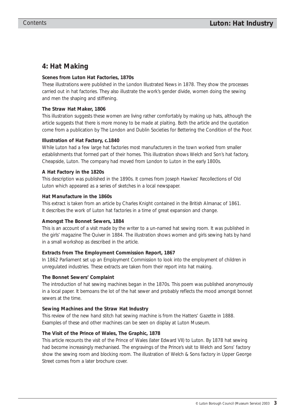# **4: Hat Making**

# **Scenes from Luton Hat Factories, 1870s**

These illustrations were published in the London Illustrated News in 1878. They show the processes carried out in hat factories. They also illustrate the work's gender divide, women doing the sewing and men the shaping and stiffening.

## **The Straw Hat Maker, 1806**

This illustration suggests these women are living rather comfortably by making up hats, although the article suggests that there is more money to be made at plaiting. Both the article and the quotation come from a publication by The London and Dublin Societies for Bettering the Condition of the Poor.

## **Illustration of Hat Factory, c.1840**

While Luton had a few large hat factories most manufacturers in the town worked from smaller establishments that formed part of their homes. This illustration shows Welch and Son's hat factory, Cheapside, Luton. The company had moved from London to Luton in the early 1800s.

## **A Hat Factory in the 1820s**

This description was published in the 1890s. It comes from Joseph Hawkes' Recollections of Old Luton which appeared as a series of sketches in a local newspaper.

## **Hat Manufacture in the 1860s**

This extract is taken from an article by Charles Knight contained in the British Almanac of 1861. It describes the work of Luton hat factories in a time of great expansion and change.

# **Amongst The Bonnet Sewers, 1884**

This is an account of a visit made by the writer to a un-named hat sewing room. It was published in the girls' magazine The Quiver in 1884. The illustration shows women and girls sewing hats by hand in a small workshop as described in the article.

#### **Extracts from The Employment Commission Report, 1867**

In 1862 Parliament set up an Employment Commission to look into the employment of children in unregulated industries. These extracts are taken from their report into hat making.

#### **The Bonnet Sewers' Complaint**

The introduction of hat sewing machines began in the 1870s. This poem was published anonymously in a local paper. It bemoans the lot of the hat sewer and probably reflects the mood amongst bonnet sewers at the time.

#### **Sewing Machines and the Straw Hat Industry**

This review of the new hand stitch hat sewing machine is from the Hatters' Gazette in 1888. Examples of these and other machines can be seen on display at Luton Museum.

#### **The Visit of the Prince of Wales, The Graphic, 1878**

This article recounts the visit of the Prince of Wales (later Edward VII) to Luton. By 1878 hat sewing had become increasingly mechanised. The engravings of the Prince's visit to Welch and Sons' factory show the sewing room and blocking room. The illustration of Welch & Sons factory in Upper George Street comes from a later brochure cover.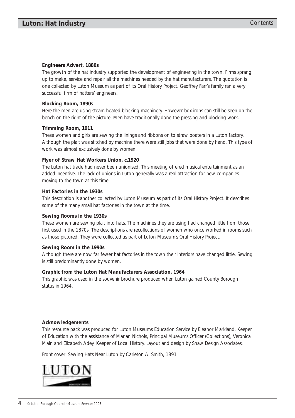## **Engineers Advert, 1880s**

The growth of the hat industry supported the development of engineering in the town. Firms sprang up to make, service and repair all the machines needed by the hat manufacturers. The quotation is one collected by Luton Museum as part of its Oral History Project. Geoffrey Farr's family ran a very successful firm of hatters' engineers.

#### **Blocking Room, 1890s**

Here the men are using steam heated blocking machinery. However box irons can still be seen on the bench on the right of the picture. Men have traditionally done the pressing and blocking work.

## **Trimming Room, 1911**

These women and girls are sewing the linings and ribbons on to straw boaters in a Luton factory. Although the plait was stitched by machine there were still jobs that were done by hand. This type of work was almost exclusively done by women.

## **Flyer of Straw Hat Workers Union, c.1920**

The Luton hat trade had never been unionised. This meeting offered musical entertainment as an added incentive. The lack of unions in Luton generally was a real attraction for new companies moving to the town at this time.

## **Hat Factories in the 1930s**

This description is another collected by Luton Museum as part of its Oral History Project. It describes some of the many small hat factories in the town at the time.

#### **Sewing Rooms in the 1930s**

These women are sewing plait into hats. The machines they are using had changed little from those first used in the 1870s. The descriptions are recollections of women who once worked in rooms such as those pictured. They were collected as part of Luton Museum's Oral History Project.

#### **Sewing Room in the 1990s**

Although there are now far fewer hat factories in the town their interiors have changed little. Sewing is still predominantly done by women.

#### **Graphic from the Luton Hat Manufacturers Association, 1964**

This graphic was used in the souvenir brochure produced when Luton gained County Borough status in 1964.

# **Acknowledgements**

This resource pack was produced for Luton Museums Education Service by Eleanor Markland, Keeper of Education with the assistance of Marian Nichols, Principal Museums Officer (Collections), Veronica Main and Elizabeth Adey, Keeper of Local History. Layout and design by Shaw Design Associates.

Front cover: Sewing Hats Near Luton by Carleton A. Smith, 1891

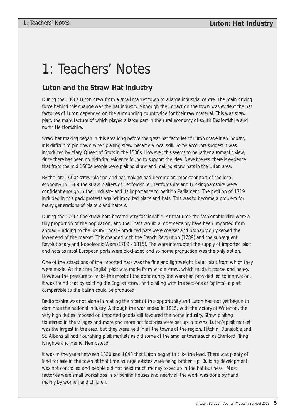# 1: Teachers' Notes

# **Luton and the Straw Hat Industry**

During the 1800s Luton grew from a small market town to a large industrial centre. The main driving force behind this change was the hat industry. Although the impact on the town was evident the hat factories of Luton depended on the surrounding countryside for their raw material. This was straw plait, the manufacture of which played a large part in the rural economy of south Bedfordshire and north Hertfordshire.

Straw hat making began in this area long before the great hat factories of Luton made it an industry. It is difficult to pin down when plaiting straw became a local skill. Some accounts suggest it was introduced by Mary, Queen of Scots in the 1500s. However, this seems to be rather a romantic view, since there has been no historical evidence found to support the idea. Nevertheless, there is evidence that from the mid 1600s people were plaiting straw and making straw hats in the Luton area.

By the late 1600s straw plaiting and hat making had become an important part of the local economy. In 1689 the straw plaiters of Bedfordshire, Hertfordshire and Buckinghamshire were confident enough in their industry and its importance to petition Parliament. The petition of 1719 included in this pack protests against imported plaits and hats. This was to become a problem for many generations of plaiters and hatters.

During the 1700s fine straw hats became very fashionable. At that time the fashionable elite were a tiny proportion of the population, and their hats would almost certainly have been imported from abroad – adding to the luxury. Locally produced hats were coarser and probably only served the lower end of the market. This changed with the French Revolution (1789) and the subsequent Revolutionary and Napoleonic Wars (1789 - 1815). The wars interrupted the supply of imported plait and hats as most European ports were blockaded and so home production was the only option.

One of the attractions of the imported hats was the fine and lightweight Italian plait from which they were made. At the time English plait was made from whole straw, which made it coarse and heavy. However the pressure to make the most of the opportunity the wars had provided led to innovation. It was found that by splitting the English straw, and plaiting with the sections or 'splints', a plait comparable to the Italian could be produced.

Bedfordshire was not alone in making the most of this opportunity and Luton had not yet begun to dominate the national industry. Although the war ended in 1815, with the victory at Waterloo, the very high duties imposed on imported goods still favoured the home industry. Straw plaiting flourished in the villages and more and more hat factories were set up in towns. Luton's plait market was the largest in the area, but they were held in all the towns of the region. Hitchin, Dunstable and St. Albans all had flourishing plait markets as did some of the smaller towns such as Shefford, Tring, Ivinghoe and Hemel Hempstead.

It was in the years between 1820 and 1840 that Luton began to take the lead. There was plenty of land for sale in the town at that time as large estates were being broken up. Building development was not controlled and people did not need much money to set up in the hat business. Most factories were small workshops in or behind houses and nearly all the work was done by hand, mainly by women and children.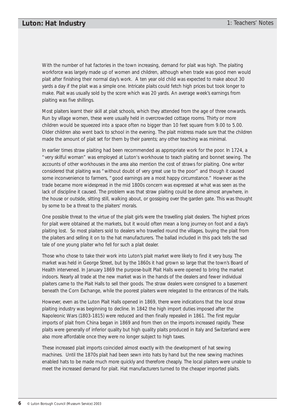With the number of hat factories in the town increasing, demand for plait was high. The plaiting workforce was largely made up of women and children, although when trade was good men would plait after finishing their normal day's work. A ten year old child was expected to make about 30 yards a day if the plait was a simple one. Intricate plaits could fetch high prices but took longer to make. Plait was usually sold by the score which was 20 yards. An average week's earnings from plaiting was five shillings.

Most plaiters learnt their skill at plait schools, which they attended from the age of three onwards. Run by village women, these were usually held in overcrowded cottage rooms. Thirty or more children would be squeezed into a space often no bigger than 10 feet square from 9.00 to 5.00. Older children also went back to school in the evening. The plait mistress made sure that the children made the amount of plait set for them by their parents; any other teaching was minimal.

In earlier times straw plaiting had been recommended as appropriate work for the poor. In 1724, a "very skilful woman" was employed at Luton's workhouse to teach plaiting and bonnet sewing. The accounts of other workhouses in the area also mention the cost of straws for plaiting. One writer considered that plaiting was "without doubt of very great use to the poor" and though it caused some inconvenience to farmers, "good earnings are a most happy circumstance." However as the trade became more widespread in the mid 1800s concern was expressed at what was seen as the lack of discipline it caused. The problem was that straw plaiting could be done almost anywhere, in the house or outside, sitting still, walking about, or gossiping over the garden gate. This was thought by some to be a threat to the plaiters' morals.

One possible threat to the virtue of the plait girls were the travelling plait dealers. The highest prices for plait were obtained at the markets, but it would often mean a long journey on foot and a day's plaiting lost. So most plaiters sold to dealers who travelled round the villages, buying the plait from the plaiters and selling it on to the hat manufacturers. The ballad included in this pack tells the sad tale of one young plaiter who fell for such a plait dealer.

Those who chose to take their work into Luton's plait market were likely to find it very busy. The market was held in George Street, but by the 1860s it had grown so large that the town's Board of Health intervened. In January 1869 the purpose-built Plait Halls were opened to bring the market indoors. Nearly all trade at the new market was in the hands of the dealers and fewer individual plaiters came to the Plait Halls to sell their goods. The straw dealers were consigned to a basement beneath the Corn Exchange, while the poorest plaiters were relegated to the entrances of the Halls.

However, even as the Luton Plait Halls opened in 1869, there were indications that the local straw plaiting industry was beginning to decline. In 1842 the high import duties imposed after the Napoleonic Wars (1803-1815) were reduced and then finally repealed in 1861. The first regular imports of plait from China began in 1869 and from then on the imports increased rapidly. These plaits were generally of inferior quality but high quality plaits produced in Italy and Switzerland were also more affordable once they were no longer subject to high taxes.

These increased plait imports coincided almost exactly with the development of hat sewing machines. Until the 1870s plait had been sewn into hats by hand but the new sewing machines enabled hats to be made much more quickly and therefore cheaply. The local plaiters were unable to meet the increased demand for plait. Hat manufacturers turned to the cheaper imported plaits.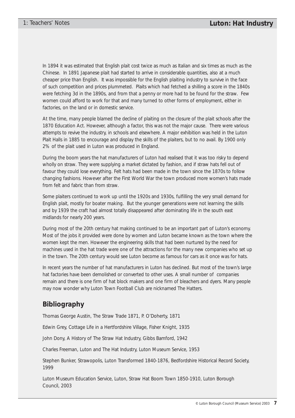In 1894 it was estimated that English plait cost twice as much as Italian and six times as much as the Chinese. In 1891 Japanese plait had started to arrive in considerable quantities, also at a much cheaper price than English. It was impossible for the English plaiting industry to survive in the face of such competition and prices plummeted. Plaits which had fetched a shilling a score in the 1840s were fetching 3d in the 1890s, and from that a penny or more had to be found for the straw. Few women could afford to work for that and many turned to other forms of employment, either in factories, on the land or in domestic service.

At the time, many people blamed the decline of plaiting on the closure of the plait schools after the 1870 Education Act. However, although a factor, this was not the major cause. There were various attempts to revive the industry, in schools and elsewhere. A major exhibition was held in the Luton Plait Halls in 1885 to encourage and display the skills of the plaiters, but to no avail. By 1900 only 2% of the plait used in Luton was produced in England.

During the boom years the hat manufacturers of Luton had realised that it was too risky to depend wholly on straw. They were supplying a market dictated by fashion, and if straw hats fell out of favour they could lose everything. Felt hats had been made in the town since the 1870s to follow changing fashions. However after the First World War the town produced more women's hats made from felt and fabric than from straw.

Some plaiters continued to work up until the 1920s and 1930s, fulfilling the very small demand for English plait, mostly for boater making. But the younger generations were not learning the skills and by 1939 the craft had almost totally disappeared after dominating life in the south east midlands for nearly 200 years.

During most of the 20th century hat making continued to be an important part of Luton's economy. Most of the jobs it provided were done by women and Luton became known as the town where the women kept the men. However the engineering skills that had been nurtured by the need for machines used in the hat trade were one of the attractions for the many new companies who set up in the town. The 20th century would see Luton become as famous for cars as it once was for hats.

In recent years the number of hat manufacturers in Luton has declined. But most of the town's large hat factories have been demolished or converted to other uses. A small number of companies remain and there is one firm of hat block makers and one firm of bleachers and dyers. Many people may now wonder why Luton Town Football Club are nicknamed The Hatters.

# **Bibliography**

Thomas George Austin, *The Straw Trade 1871,* P. O'Doherty, 1871

Edwin Grey, *Cottage Life in a Hertfordshire Village,* Fisher Knight, 1935

John Dony, *A History of The Straw Hat Industry,* Gibbs Bamford, 1942

Charles Freeman, *Luton and The Hat Industry,* Luton Museum Service, 1953

Stephen Bunker, *Strawopolis, Luton Transformed 1840-1876,* Bedfordshire Historical Record Society, 1999

Luton Museum Education Service, *Luton, Straw Hat Boom Town 1850-1910,* Luton Borough Council, 2003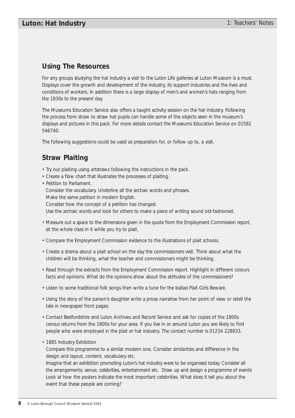# **Using The Resources**

For any groups studying the hat industry a visit to the Luton Life galleries at Luton Museum is a must. Displays cover the growth and development of the industry, its support industries and the lives and conditions of workers. In addition there is a large display of men's and women's hats ranging from the 1830s to the present day.

The Museums Education Service also offers a taught activity session on the hat industry. Following the process from straw to straw hat pupils can handle some of the objects seen in the museum's displays and pictures in this pack. For more details contact the Museums Education Service on 01582 546740.

The following suggestions could be used as preparation for, or follow up to, a visit.

# **Straw Plaiting**

- Try out plaiting using artstraws following the instructions in the pack.
- Create a flow chart that illustrates the processes of plaiting.
- Petition to Parliament.
- Consider the vocabulary. Underline all the archaic words and phrases. Make the same petition in modern English.
- Consider how the concept of a petition has changed.

Use the archaic words and look for others to make a piece of writing sound old-fashioned.

- Measure out a space to the dimensions given in the quote from the Employment Commission report, sit the whole class in it while you try to plait.
- Compare the Employment Commission evidence to the illustrations of plait schools.
- Create a drama about a plait school on the day the commissioners visit. Think about what the children will be thinking, what the teacher and commissioners might be thinking.
- Read through the extracts from the Employment Commission report. Highlight in different colours facts and opinions. What do the opinions show about the attitudes of the commissioners?
- Listen to some traditional folk songs then write a tune for the ballad Plait Girls Beware.
- Using the story of the parson's daughter write a prose narrative from her point of view or retell the tale in newspaper front pages.
- Contact Bedfordshire and Luton Archives and Record Service and ask for copies of the 1800s census returns from the 1800s for your area. If you live in or around Luton you are likely to find people who were employed in the plait or hat industry. The contact number is 01234 228833.
- 1885 Industry Exhibition

Compare this programme to a similar modern one. Consider similarities and difference in the design and layout, content, vocabulary etc.

Imagine that an exhibition promoting Luton's hat industry were to be organised today. Consider all the arrangements; venue, celebrities, entertainment etc. Draw up and design a programme of events Look at how the posters indicate the most important celebrities. What does it tell you about the event that these people are coming?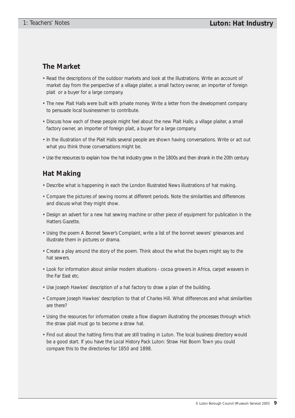# **The Market**

- Read the descriptions of the outdoor markets and look at the illustrations. Write an account of market day from the perspective of a village plaiter, a small factory owner, an importer of foreign plait or a buyer for a large company.
- The new Plait Halls were built with private money. Write a letter from the development company to persuade local businessmen to contribute.
- Discuss how each of these people might feel about the new Plait Halls; a village plaiter, a small factory owner, an importer of foreign plait, a buyer for a large company.
- In the illustration of the Plait Halls several people are shown having conversations. Write or act out what you think those conversations might be.
- Use the resources to explain how the hat industry grew in the 1800s and then shrank in the 20th century.

# **Hat Making**

- Describe what is happening in each the London Illustrated News illustrations of hat making.
- Compare the pictures of sewing rooms at different periods. Note the similarities and differences and discuss what they might show.
- Design an advert for a new hat sewing machine or other piece of equipment for publication in the Hatters Gazette.
- Using the poem A Bonnet Sewer's Complaint, write a list of the bonnet sewers' grievances and illustrate them in pictures or drama.
- Create a play around the story of the poem. Think about the what the buyers might say to the hat sewers.
- Look for information about similar modern situations cocoa growers in Africa, carpet weavers in the Far East etc.
- Use Joseph Hawkes' description of a hat factory to draw a plan of the building.
- Compare Joseph Hawkes' description to that of Charles Hill. What differences and what similarities are there?
- Using the resources for information create a flow diagram illustrating the processes through which the straw plait must go to become a straw hat.
- Find out about the hatting firms that are still trading in Luton. The local business directory would be a good start. If you have the Local History Pack Luton: Straw Hat Boom Town you could compare this to the directories for 1850 and 1898.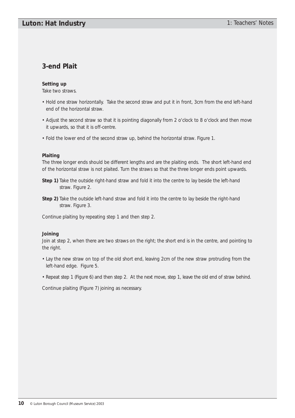# **3-end Plait**

# **Setting up**

Take two straws.

- Hold one straw horizontally. Take the second straw and put it in front, 3cm from the end left-hand end of the horizontal straw.
- Adjust the second straw so that it is pointing diagonally from 2 o'clock to 8 o'clock and then move it upwards, so that it is off-centre.
- Fold the lower end of the second straw up, behind the horizontal straw. *Figure 1.*

# **Plaiting**

The three longer ends should be different lengths and are the plaiting ends. The short left-hand end of the horizontal straw is not plaited. Turn the straws so that the three longer ends point upwards.

- **Step 1)** Take the outside right-hand straw and fold it into the centre to lay beside the left-hand straw. *Figure 2.*
- **Step 2)** Take the outside left-hand straw and fold it into the centre to lay beside the right-hand straw. *Figure 3.*

Continue plaiting by repeating step 1 and then step 2.

#### **Joining**

Join at step 2, when there are two straws on the right; the short end is in the centre, and pointing to the right.

- Lay the new straw on top of the old short end, leaving 2cm of the new straw protruding from the left-hand edge. *Figure 5.*
- Repeat step 1 *(Figure 6)* and then step 2. At the next move, step 1, leave the old end of straw behind.

Continue plaiting *(Figure 7)* joining as necessary.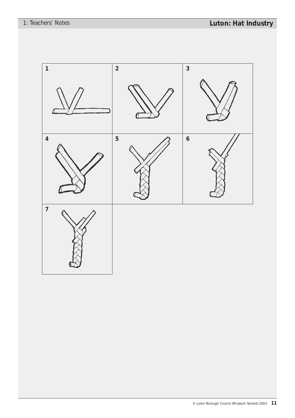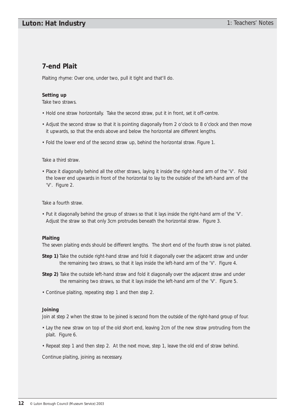# **7-end Plait**

Plaiting rhyme: Over one, under two, pull it tight and that'll do.

# **Setting up**

Take two straws.

- Hold one straw horizontally. Take the second straw, put it in front, set it off-centre.
- Adjust the second straw so that it is pointing diagonally from 2 o'clock to 8 o'clock and then move it upwards, so that the ends above and below the horizontal are different lengths.
- Fold the lower end of the second straw up, behind the horizontal straw. *Figure 1.*

## Take a third straw.

• Place it diagonally behind all the other straws, laying it inside the right-hand arm of the 'V'. Fold the lower end upwards in front of the horizontal to lay to the outside of the left-hand arm of the 'V'. *Figure 2.*

Take a fourth straw.

• Put it diagonally behind the group of straws so that it lays inside the right-hand arm of the 'V'. Adjust the straw so that only 3cm protrudes beneath the horizontal straw. *Figure 3.*

#### **Plaiting**

The seven plaiting ends should be different lengths. The short end of the fourth straw is not plaited.

- **Step 1)** Take the outside right-hand straw and fold it diagonally over the adjacent straw and under the remaining two straws, so that it lays inside the left-hand arm of the 'V'. *Figure 4.*
- **Step 2)** Take the outside left-hand straw and fold it diagonally over the adjacent straw and under the remaining two straws, so that it lays inside the left-hand arm of the 'V'. *Figure 5.*
- Continue plaiting, repeating step 1 and then step 2.

#### **Joining**

Join at step 2 when the straw to be joined is second from the outside of the right-hand group of four.

- Lay the new straw on top of the old short end, leaving 2cm of the new straw protruding from the plait. *Figure 6.*
- Repeat step 1 and then step 2. At the next move, step 1, leave the old end of straw behind.

Continue plaiting, joining as necessary.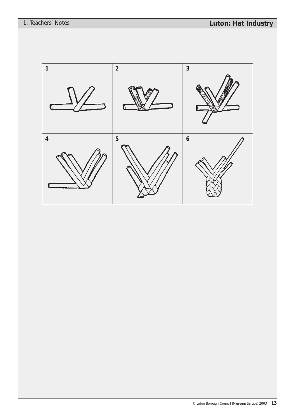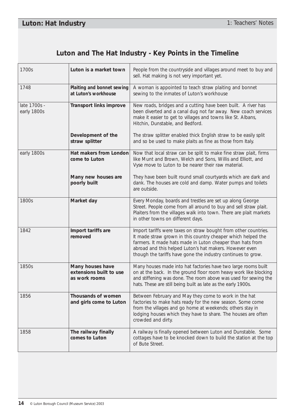# **Luton and The Hat Industry - Key Points in the Timeline**

| 1700s                       | Luton is a market town                                       | People from the countryside and villages around meet to buy and<br>sell. Hat making is not very important yet.                                                                                                                                                                                                           |
|-----------------------------|--------------------------------------------------------------|--------------------------------------------------------------------------------------------------------------------------------------------------------------------------------------------------------------------------------------------------------------------------------------------------------------------------|
| 1748                        | Plaiting and bonnet sewing<br>at Luton's workhouse           | A woman is appointed to teach straw plaiting and bonnet<br>sewing to the inmates of Luton's workhouse                                                                                                                                                                                                                    |
| late 1700s -<br>early 1800s | <b>Transport links improve</b>                               | New roads, bridges and a cutting have been built. A river has<br>been diverted and a canal dug not far away. New coach services<br>make it easier to get to villages and towns like St. Albans,<br>Hitchin, Dunstable, and Bedford.                                                                                      |
|                             | Development of the<br>straw splitter                         | The straw splitter enabled thick English straw to be easily split<br>and so be used to make plaits as fine as those from Italy.                                                                                                                                                                                          |
| early 1800s                 | Hat makers from London<br>come to Luton                      | Now that local straw can be split to make fine straw plait, firms<br>like Munt and Brown, Welch and Sons, Willis and Elliott, and<br>Vyse move to Luton to be nearer their raw material.                                                                                                                                 |
|                             | Many new houses are<br>poorly built                          | They have been built round small courtyards which are dark and<br>dank. The houses are cold and damp. Water pumps and toilets<br>are outside.                                                                                                                                                                            |
| 1800s                       | Market day                                                   | Every Monday, boards and trestles are set up along George<br>Street. People come from all around to buy and sell straw plait.<br>Plaiters from the villages walk into town. There are plait markets<br>in other towns on different days.                                                                                 |
| 1842                        | Import tariffs are<br>removed                                | Import tariffs were taxes on straw bought from other countries.<br>It made straw grown in this country cheaper which helped the<br>farmers. It made hats made in Luton cheaper than hats from<br>abroad and this helped Luton's hat makers. However even<br>though the tariffs have gone the industry continues to grow. |
| 1850s                       | Many houses have<br>extensions built to use<br>as work rooms | Many houses made into hat factories have two large rooms built<br>on at the back. In the ground floor room heavy work like blocking<br>and stiffening was done. The room above was used for sewing the<br>hats. These are still being built as late as the early 1900s.                                                  |
| 1856                        | <b>Thousands of women</b><br>and girls come to Luton         | Between February and May they come to work in the hat<br>factories to make hats ready for the new season. Some come<br>from the villages and go home at weekends; others stay in<br>lodging houses which they have to share. The houses are often<br>crowded and dirty.                                                  |
| 1858                        | The railway finally<br>comes to Luton                        | A railway is finally opened between Luton and Dunstable. Some<br>cottages have to be knocked down to build the station at the top<br>of Bute Street.                                                                                                                                                                     |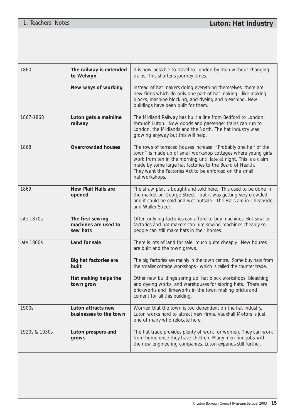# 1: Teachers' Notes **Luton: Hat Industry**

| 1860          | The railway is extended<br>to Welwyn                 | It is now possible to travel to London by train without changing<br>trains. This shortens journey times.                                                                                                                                                                                                                                       |
|---------------|------------------------------------------------------|------------------------------------------------------------------------------------------------------------------------------------------------------------------------------------------------------------------------------------------------------------------------------------------------------------------------------------------------|
|               | New ways of working                                  | Instead of hat makers doing everything themselves, there are<br>new firms which do only one part of hat making - like making<br>blocks, machine blocking, and dyeing and bleaching. New<br>buildings have been built for them.                                                                                                                 |
| 1867-1868     | Luton gets a mainline<br>railway                     | The Midland Railway has built a line from Bedford to London,<br>through Luton. Now goods and passenger trains can run to<br>London, the Midlands and the North. The hat industry was<br>growing anyway but this will help.                                                                                                                     |
| 1868          | <b>Overcrowded houses</b>                            | The rows of terraced houses increase. "Probably one half of the<br>town" is made up of small workshop cottages where young girls<br>work from ten in the morning until late at night. This is a claim<br>made by some large hat factories to the Board of Health.<br>They want the Factories Act to be enforced on the small<br>hat workshops. |
| 1869          | <b>New Plait Halls are</b><br>opened                 | The straw plait is bought and sold here. This used to be done in<br>the market on George Street - but it was getting very crowded,<br>and it could be cold and wet outside. The Halls are in Cheapside<br>and Waller Street.                                                                                                                   |
| late 1870s    | The first sewing<br>machines are used to<br>sew hats | Often only big factories can afford to buy machines. But smaller<br>factories and hat makers can hire sewing machines cheaply so<br>people can still make hats in their homes.                                                                                                                                                                 |
| late 1800s    | Land for sale                                        | There is lots of land for sale, much quite cheaply. New houses<br>are built and the town grows.                                                                                                                                                                                                                                                |
|               | Big hat factories are<br>built                       | The big factories are mainly in the town centre. Some buy hats from<br>the smaller cottage workshops - which is called the counter trade.                                                                                                                                                                                                      |
|               | Hat making helps the<br>town grow                    | Other new buildings spring up: hat block workshops, bleaching<br>and dyeing works, and warehouses for storing hats. There are<br>brickworks and limeworks in the town making bricks and<br>cement for all this building.                                                                                                                       |
| 1900s         | Luton attracts new<br>businesses to the town         | Worried that the town is too dependent on the hat industry,<br>Luton works hard to attract new firms. Vauxhall Motors is just<br>one of many who relocate here.                                                                                                                                                                                |
| 1920s & 1930s | Luton prospers and<br>grows                          | The hat trade provides plenty of work for women. They can work<br>from home once they have children. Many men find jobs with<br>the new engineering companies. Luton expands still further.                                                                                                                                                    |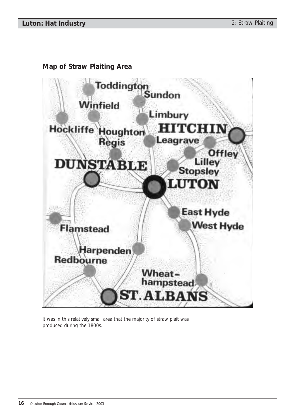**Map of Straw Plaiting Area**



*It was in this relatively small area that the majority of straw plait was produced during the 1800s.*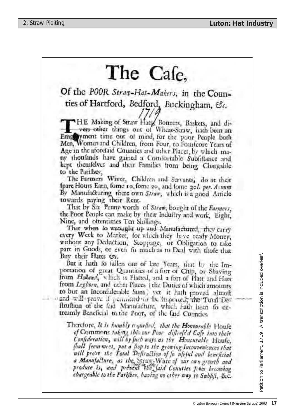# The Cafe.

# Of the POOR Straw-Hat-Makers, in the Counties of Hartford, Bedford, Buckingham, &c.

HE Making of Straw Hats Bonnets, Baskets, and divers other things out of Wheat-Straw, bath been an Emplyment time out of mind, for the poor People both<br>Men, Women and Children, from Four, to Fourfcore Years of Age in the aforefaid Counties and other Places, by which many thoufands have gained a Comfortable Subfittance and kept themfelves and their Families from being Chargable to the Parifbes.

The Farmers Wives, Children and Servants, do at their fpare Hours Earn, fome 10, fome 20, and fome 30l. per. A num By Manufacturing there own Straw, which is a good Article towards paying their Rent.

That by Six Penny worth of Straw, bought of the Farmers, the Poor People can make by their Indultry and work, Eight, Nine, and oftentimes Ten Shillings.

That when to wrought up and Manufactured, they carry every Week to Market, for which they have ready Money, without any Deduction, Stoppage, or Obligation to take part in Goods, or even fo much as to Deal with thofe that Buy their Hatts &c.

But it hath fo fallen out of late Years, that by the Importation of great Quantities of a fort of Chip, or Shaving<br>from Holand, which is Platted, and a fort of Platt and Hats from Legborn, and other Places (the Duties of which amounts to but an Inconfiderable Sum, yet it hath proved almoft and will prove if permitted to be impound; the Total Deftruftion of the faid Manufacture, which hath been fo extreamly Beneficial to the Poor, of the faid Counties.

Therefore, It is humbly requested, that the Honourable House. of Commons taking this our Poor diffiels'd Cafe into their Confideration, will by fuch ways as the Honourable House, fhall feem meet, put a ftop to the growing Inconneniences that will prove the Total Deftraction of fo afeful and beneficial a Manufacture, as the Straw-Ware of our own growth and produce is, and prevent "the faid Counties from becoming<br>chargeable to the Partfles, having no other way to Subfift, &c.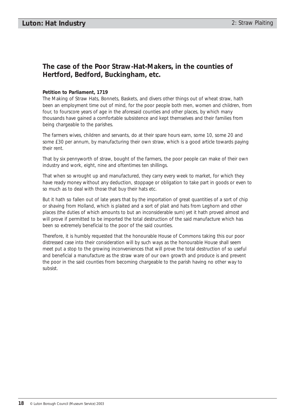# **The case of the Poor Straw-Hat-Makers, in the counties of Hertford, Bedford, Buckingham, etc.**

# **Petition to Parliament, 1719**

The Making of Straw Hats, Bonnets, Baskets, and divers other things out of wheat straw, hath been an employment time out of mind, for the poor people both men, women and children, from four, to fourscore years of age in the aforesaid counties and other places, by which many thousands have gained a comfortable subsistence and kept themselves and their families from being chargeable to the parishes.

The farmers wives, children and servants, do at their spare hours earn, some 10, some 20 and some £30 per annum, by manufacturing their own straw, which is a good article towards paying their rent.

That by six pennyworth of straw, bought of the farmers, the poor people can make of their own industry and work, eight, nine and oftentimes ten shillings.

That when so wrought up and manufactured, they carry every week to market, for which they have ready money without any deduction, stoppage or obligation to take part in goods or even to so much as to deal with those that buy their hats etc.

But it hath so fallen out of late years that by the importation of great quantities of a sort of chip or shaving from Holland, which is plaited and a sort of plait and hats from Leghorn and other places (the duties of which amounts to but an inconsiderable sum) yet it hath proved almost and will prove if permitted to be imported the total destruction of the said manufacture which has been so extremely beneficial to the poor of the said counties.

Therefore, it is humbly requested that the honourable House of Commons taking this our poor distressed case into their consideration will by such ways as the honourable House shall seem meet put a stop to the growing inconveniences that will prove the total destruction of so useful and beneficial a manufacture as the straw ware of our own growth and produce is and prevent the poor in the said counties from becoming chargeable to the parish having no other way to subsist.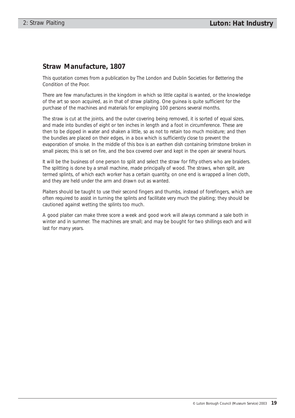# **Straw Manufacture, 1807**

*This quotation comes from a publication by The London and Dublin Societies for Bettering the Condition of the Poor.*

There are few manufactures in the kingdom in which so little capital is wanted, or the knowledge of the art so soon acquired, as in that of straw plaiting. One guinea is quite sufficient for the purchase of the machines and materials for employing 100 persons several months.

The straw is cut at the joints, and the outer covering being removed, it is sorted of equal sizes, and made into bundles of eight or ten inches in length and a foot in circumference. These are then to be dipped in water and shaken a little, so as not to retain too much moisture; and then the bundles are placed on their edges, in a box which is sufficiently close to prevent the evaporation of smoke. In the middle of this box is an earthen dish containing brimstone broken in small pieces; this is set on fire, and the box covered over and kept in the open air several hours.

It will be the business of one person to split and select the straw for fifty others who are braiders. The splitting is done by a small machine, made principally of wood. The straws, when split, are termed splints, of which each worker has a certain quantity, on one end is wrapped a linen cloth, and they are held under the arm and drawn out as wanted.

Plaiters should be taught to use their second fingers and thumbs, instead of forefingers, which are often required to assist in turning the splints and facilitate very much the plaiting; they should be cautioned against wetting the splints too much.

A good plaiter can make three score a week and good work will always command a sale both in winter and in summer. The machines are small; and may be bought for two shillings each and will last for many years.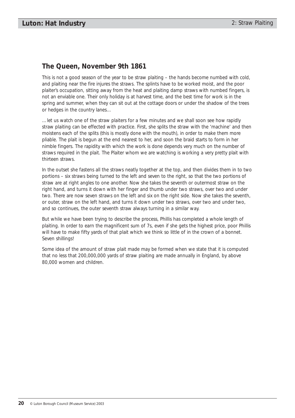# **The Queen, November 9th 1861**

This is not a good season of the year to be straw plaiting – the hands become numbed with cold, and plaiting near the fire injures the straws. The splints have to be worked moist, and the poor plaiter's occupation, sitting away from the heat and plaiting damp straws with numbed fingers, is not an enviable one. Their only holiday is at harvest time, and the best time for work is in the spring and summer, when they can sit out at the cottage doors or under the shadow of the trees or hedges in the country lanes…

…let us watch one of the straw plaiters for a few minutes and we shall soon see how rapidly straw plaiting can be effected with practice. First, she splits the straw with the 'machine' and then moistens each of the splits (this is mostly done with the mouth), in order to make them more pliable. The plait is begun at the end nearest to her, and soon the braid starts to form in her nimble fingers. The rapidity with which the work is done depends very much on the number of straws required in the plait. The Plaiter whom we are watching is working a very pretty plait with thirteen straws.

In the outset she fastens all the straws neatly together at the top, and then divides them in to two portions – six straws being turned to the left and seven to the right, so that the two portions of straw are at right angles to one another. Now she takes the seventh or outermost straw on the right hand, and turns it down with her finger and thumb under two straws, over two and under two. There are now seven straws on the left and six on the right side. Now she takes the seventh, or outer, straw on the left hand, and turns it down under two straws, over two and under two, and so continues, the outer seventh straw always turning in a similar way.

But while we have been trying to describe the process, Phillis has completed a whole length of plaiting. In order to earn the magnificent sum of 7s, even if she gets the highest price, poor Phillis will have to make fifty yards of that plait which we think so little of in the crown of a bonnet. Seven shillings!

Some idea of the amount of straw plait made may be formed when we state that it is computed that no less that 200,000,000 yards of straw plaiting are made annually in England, by above 80,000 women and children.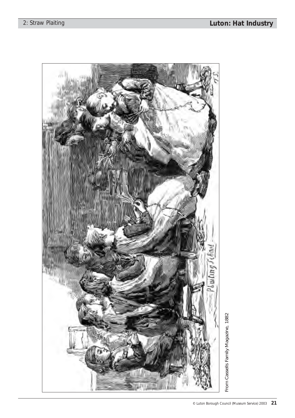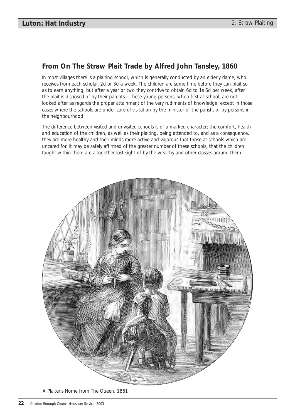# **From On The Straw Plait Trade by Alfred John Tansley, 1860**

In most villages there is a plaiting school, which is generally conducted by an elderly dame, who receives from each scholar, 2d or 3d a week. The children are some time before they can plait so as to earn anything, but after a year or two they contrive to obtain 6d to 1s 6d per week, after the plait is disposed of by their parents…These young persons, when first at school, are not looked after as regards the proper attainment of the very rudiments of knowledge, except in those cases where the schools are under careful visitation by the minister of the parish, or by persons in the neighbourhood.

The difference between visited and unvisited schools is of a marked character; the comfort, health and education of the children, as well as their plaiting, being attended to, and as a consequence, they are more healthy and their minds more active and vigorous that those at schools which are uncared for. It may be safely affirmed of the greater number of these schools, that the children taught within them are altogether lost sight of by the wealthy and other classes around them.



*A Plaiter's Home from The Queen, 1861*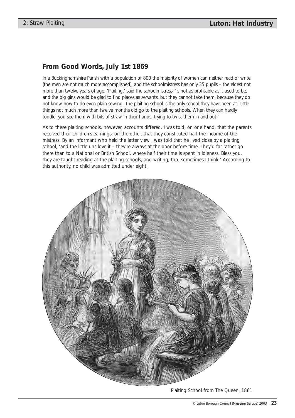# **From Good Words, July 1st 1869**

In a Buckinghamshire Parish with a population of 800 the majority of women can neither read or write (the men are not much more accomplished), and the schoolmistress has only 35 pupils – the eldest not more than twelve years of age. 'Plaiting,' said the schoolmistress, 'is not as profitable as it used to be, and the big girls would be glad to find places as servants, but they cannot take them, because they do not know how to do even plain sewing. The plaiting school is the only school they have been at. Little things not much more than twelve months old go to the plaiting schools. When they can hardly toddle, you see them with bits of straw in their hands, trying to twist them in and out.'

As to these plaiting schools, however, accounts differed. I was told, on one hand, that the parents received their children's earnings; on the other, that they constituted half the income of the mistress. By an informant who held the latter view I was told that he lived close by a plaiting school, 'and the little uns love it – they're always at the door before time. They'd far rather go there than to a National or British School, where half their time is spent in idleness. Bless you, they are taught reading at the plaiting schools, and writing, too, sometimes I think.' According to this authority, no child was admitted under eight.

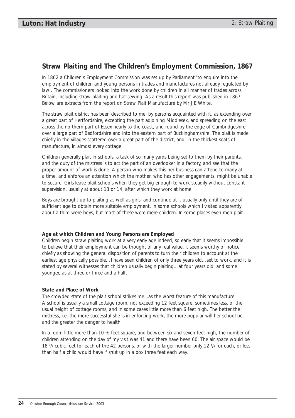# **Straw Plaiting and The Children's Employment Commission, 1867**

*In 1862 a Children's Employment Commission was set up by Parliament 'to enquire into the employment of children and young persons in trades and manufactures not already regulated by law'. The commissioners looked into the work done by children in all manner of trades across Britain, including straw plaiting and hat sewing. As a result this report was published in 1867. Below are extracts from the report on Straw Plait Manufacture by Mr J E White.*

The straw plait district has been described to me, by persons acquainted with it, as extending over a great part of Hertfordshire, excepting the part adjoining Middlesex, and spreading on the east across the northern part of Essex nearly to the coast, and round by the edge of Cambridgeshire, over a large part of Bedfordshire and into the eastern part of Buckinghamshire. The plait is made chiefly in the villages scattered over a great part of the district, and, in the thickest seats of manufacture, in almost every cottage.

Children generally plait in schools, a task of so many yards being set to them by their parents, and the duty of the mistress is to act the part of an overlooker in a factory, and see that the proper amount of work is done. A person who makes this her business can attend to many at a time, and enforce an attention which the mother, who has other engagements, might be unable to secure. Girls leave plait schools when they get big enough to work steadily without constant supervision, usually at about 13 or 14, after which they work at home.

Boys are brought up to plaiting as well as girls, and continue at it usually only until they are of sufficient age to obtain more suitable employment. In some schools which I visited apparently about a third were boys, but most of these were mere children. In some places even men plait.

#### **Age at which Children and Young Persons are Employed**

Children begin straw plaiting work at a very early age indeed, so early that it seems impossible to believe that their employment can be thought of any real value. It seems worthy of notice chiefly as showing the general disposition of parents to turn their children to account at the earliest age physically possible…I have seen children of only three years old…set to work, and it is stated by several witnesses that children usually begin plaiting…at four years old, and some younger, as at three or three and a half.

# **State and Place of Work**

The crowded state of the plait school strikes me...as the worst feature of this manufacture. A school is usually a small cottage room, not exceeding 12 feet square, sometimes less, of the usual height of cottage rooms, and in some cases little more than 6 feet high. The better the mistress, i.e. the more successful she is in enforcing work, the more popular will her school be, and the greater the danger to health.

In a room little more than 10 1/<sub>2</sub> feet square, and between six and seven feet high, the number of children attending on the day of my visit was 41 and there have been 60. The air space would be 18  $1/2$  cubic feet for each of the 42 persons, or with the larger number only 12  $3/4$  for each, or less than half a child would have if shut up in a box three feet each way.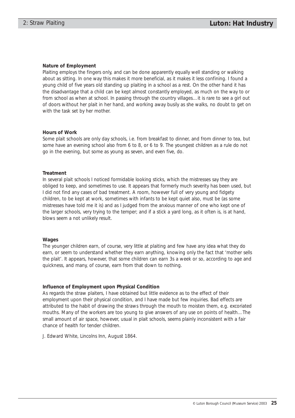#### **Nature of Employment**

Plaiting employs the fingers only, and can be done apparently equally well standing or walking about as sitting. In one way this makes it more beneficial, as it makes it less confining. I found a young child of five years old standing up plaiting in a school as a rest. On the other hand it has the disadvantage that a child can be kept almost constantly employed, as much on the way to or from school as when at school. In passing through the country villages…it is rare to see a girl out of doors without her plait in her hand, and working away busily as she walks, no doubt to get on with the task set by her mother.

#### **Hours of Work**

Some plait schools are only day schools, i.e. from breakfast to dinner, and from dinner to tea, but some have an evening school also from 6 to 8, or 6 to 9. The youngest children as a rule do not go in the evening, but some as young as seven, and even five, do.

#### **Treatment**

In several plait schools I noticed formidable looking sticks, which the mistresses say they are obliged to keep, and sometimes to use. It appears that formerly much severity has been used, but I did not find any cases of bad treatment. A room, however full of very young and fidgety children, to be kept at work, sometimes with infants to be kept quiet also, must be (as some mistresses have told me it is) and as I judged from the anxious manner of one who kept one of the larger schools, very trying to the temper; and if a stick a yard long, as it often is, is at hand, blows seem a not unlikely result.

#### **Wages**

The younger children earn, of course, very little at plaiting and few have any idea what they do earn, or seem to understand whether they earn anything, knowing only the fact that 'mother sells the plait'. It appears, however, that some children can earn 3s a week or so, according to age and quickness, and many, of course, earn from that down to nothing.

#### **Influence of Employment upon Physical Condition**

As regards the straw plaiters, I have obtained but little evidence as to the effect of their employment upon their physical condition, and I have made but few inquiries. Bad effects are attributed to the habit of drawing the straws through the mouth to moisten them, e.g. excoriated mouths. Many of the workers are too young to give answers of any use on points of health…The small amount of air space, however, usual in plait schools, seems plainly inconsistent with a fair chance of health for tender children.

*J. Edward White, Lincolns Inn, August 1864.*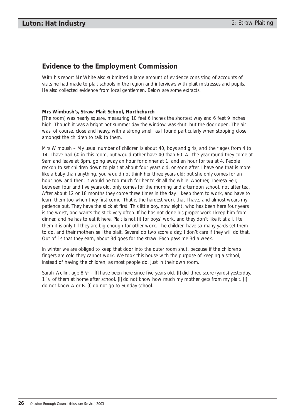# **Evidence to the Employment Commission**

*With his report Mr White also submitted a large amount of evidence consisting of accounts of visits he had made to plait schools in the region and interviews with plait mistresses and pupils. He also collected evidence from local gentlemen. Below are some extracts.* 

# **Mrs Wimbush's, Straw Plait School, Northchurch**

[The room] was nearly square, measuring 10 feet 6 inches the shortest way and 6 feet 9 inches high. Though it was a bright hot summer day the window was shut, but the door open. The air was, of course, close and heavy, with a strong smell, as I found particularly when stooping close amongst the children to talk to them.

Mrs Wimbush – My usual number of children is about 40, boys and girls, and their ages from 4 to 14. I have had 60 in this room, but would rather have 40 than 60. All the year round they come at 9am and leave at 8pm, going away an hour for dinner at 1, and an hour for tea at 4. People reckon to set children down to plait at about four years old, or soon after. I have one that is more like a baby than anything, you would not think her three years old; but she only comes for an hour now and then; it would be too much for her to sit all the while. Another, Theresa Seir, between four and five years old, only comes for the morning and afternoon school, not after tea. After about 12 or 18 months they come three times in the day. I keep them to work, and have to learn them too when they first come. That is the hardest work that I have, and almost wears my patience out. They have the stick at first. This little boy, now eight, who has been here four years is the worst, and wants the stick very often. If he has not done his proper work I keep him from dinner, and he has to eat it here. Plait is not fit for boys' work, and they don't like it at all. I tell them it is only till they are big enough for other work. The children have so many yards set them to do, and their mothers sell the plait. Several do two score a day, I don't care if they will do that. Out of 1s that they earn, about 3d goes for the straw. Each pays me 3d a week.

In winter we are obliged to keep that door into the outer room shut, because if the children's fingers are cold they cannot work. We took this house with the purpose of keeping a school, instead of having the children, as most people do, just in their own room.

Sarah Wellin, age 8  $1/2$  – [I] have been here since five years old. [I] did three score (yards) yesterday, 1 1 /2 of them at home after school. [I] do not know how much my mother gets from my plait. [I] do not know A or B. [I] do not go to Sunday school.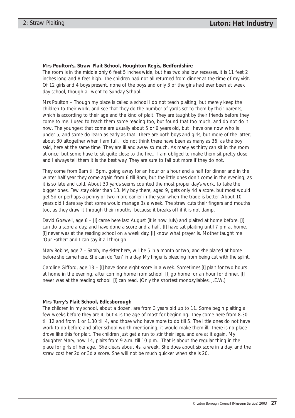#### **Mrs Poulton's, Straw Plait School, Houghton Regis, Bedfordshire**

The room is in the middle only 6 feet 5 inches wide, but has two shallow recesses, it is 11 feet 2 inches long and 8 feet high. The children had not all returned from dinner at the time of my visit. Of 12 girls and 4 boys present, none of the boys and only 3 of the girls had ever been at week day school, though all went to Sunday School.

Mrs Poulton – Though my place is called a school I do not teach plaiting, but merely keep the children to their work, and see that they do the number of yards set to them by their parents, which is according to their age and the kind of plait. They are taught by their friends before they come to me. I used to teach them some reading too, but found that too much, and do not do it now. The youngest that come are usually about 5 or 6 years old, but I have one now who is under 5, and some do learn as early as that. There are both boys and girls, but more of the latter; about 30 altogether when I am full. I do not think there have been as many as 36, as the boy said, here at the same time. They are ill and away so much. As many as thirty can sit in the room at once, but some have to sit quite close to the fire... I am obliged to make them sit pretty close, and I always tell them it is the best way. They are sure to fall out more if they do not.

They come from 9am till 5pm, going away for an hour or a hour and a half for dinner and in the winter half year they come again from 6 till 8pm, but the little ones don't come in the evening, as it is so late and cold. About 30 yards seems counted the most proper day's work, to take the bigger ones. Few stay older than 13. My boy there, aged 9, gets only 4d a score, but most would get 5d or perhaps a penny or two more earlier in the year when the trade is better. About 10 years old I dare say that some would manage 3s a week. The straw cuts their fingers and mouths too, as they draw it through their mouths, because it breaks off if it is not damp.

David Goswell, age 6 – [I] came here last August (it is now July) and plaited at home before. [I] can do a score a day, and have done a score and a half. [I] have sat plaiting until 7 pm at home. [I] never was at the reading school on a week day. [I] know what prayer is, Mother taught me 'Our Father' and I can say it all through.

Mary Robins, age 7 – Sarah, my sister here, will be 5 in a month or two, and she plaited at home before she came here. She can do 'ten' in a day. My finger is bleeding from being cut with the splint.

Caroline Gifford, age 13 – [I] have done eight score in a week. Sometimes [I] plait for two hours at home in the evening, after coming home from school. [I] go home for an hour for dinner. [I] never was at the reading school. [I] can read. (Only the shortest monosyllables. J.E.W.)

#### **Mrs Turry's Plait School, Edlesborough**

The children in my school, about a dozen, are from 3 years old up to 11. Some begin plaiting a few weeks before they are 4, but 4 is the age of most for beginning. They come here from 8.30 till 12 and from 1 or 1.30 till 4, and those who have more to do till 5. The little ones do not have work to do before and after school worth mentioning; it would make them ill. There is no place drove like this for plait. The children just get a run to stir their legs, and are at it again. My daughter Mary, now 14, plaits from 9 a.m. till 10 p.m. That is about the regular thing in the place for girls of her age. She clears about 4s. a week. She does about six score in a day, and the straw cost her 2d or 3d a score. She will not be much quicker when she is 20.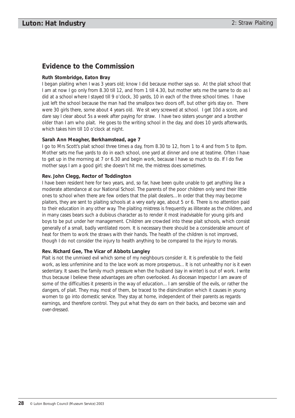# **Evidence to the Commission**

# **Ruth Stombridge, Eaton Bray**

I began plaiting when I was 3 years old; know I did because mother says so. At the plait school that I am at now I go only from 8.30 till 12, and from 1 till 4.30, but mother sets me the same to do as I did at a school where I stayed till 9 o'clock, 30 yards, 10 in each of the three school times. I have just left the school because the man had the smallpox two doors off, but other girls stay on. There were 30 girls there, some about 4 years old. We sit very screwed at school. I get 10d a score, and dare say I clear about 5s a week after paying for straw. I have two sisters younger and a brother older than I am who plait. He goes to the writing school in the day, and does 10 yards afterwards, which takes him till 10 o'clock at night.

## **Sarah Ann Meagher, Berkhamstead, age 7**

I go to Mrs Scott's plait school three times a day, from 8.30 to 12, from 1 to 4 and from 5 to 8pm. Mother sets me five yards to do in each school, one yard at dinner and one at teatime. Often I have to get up in the morning at 7 or 6.30 and begin work, because I have so much to do. If I do five mother says I am a good girl; she doesn't hit me, the mistress does sometimes.

## **Rev. John Clegg, Rector of Toddington**

I have been resident here for two years, and, so far, have been quite unable to get anything like a moderate attendance at our National School. The parents of the poor children only send their little ones to school when there are few orders that the plait dealers…In order that they may become plaiters, they are sent to plaiting schools at a very early age, about 5 or 6. There is no attention paid to their education in any other way. The plaiting mistress is frequently as illiterate as the children, and in many cases bears such a dubious character as to render it most inadvisable for young girls and boys to be put under her management. Children are crowded into these plait schools, which consist generally of a small, badly ventilated room. It is necessary there should be a considerable amount of heat for them to work the straws with their hands. The health of the children is not improved, though I do not consider the injury to health anything to be compared to the injury to morals.

#### **Rev. Richard Gee, The Vicar of Abbots Langley**

Plait is not the unmixed evil which some of my neighbours consider it. It is preferable to the field work, as less unfeminine and to the lace work as more prosperous... It is not unhealthy nor is it even sedentary. It saves the family much pressure when the husband (say in winter) is out of work. I write thus because I believe these advantages are often overlooked. As diocesan Inspector I am aware of some of the difficulties it presents in the way of education... I am sensible of the evils, or rather the dangers, of plait. They may, most of them, be traced to the disinclination which it causes in young women to go into domestic service. They stay at home, independent of their parents as regards earnings, and therefore control. They put what they do earn on their backs, and become vain and over-dressed.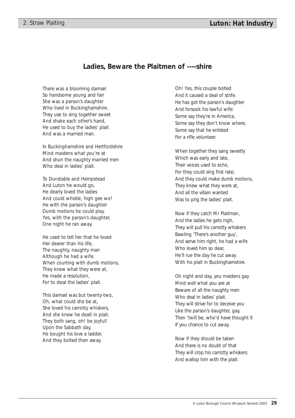# **Ladies, Beware the Plaitmen of ----shire**

There was a blooming damsel So handsome young and fair She was a parson's daughter Who lived in Buckinghamshire. They use to sing together sweet And shake each other's hand, He used to buy the ladies' plait And was a married man.

In Buckinghamshire and Hertfordshire Mind maidens what you're at And shun the naughty married men Who deal in ladies' plait.

To Dunstable and Hempstead And Luton he would go, He dearly loved the ladies And could whistle, high gee wo! He with the parson's daughter Dumb motions he could play. Yes, with the parson's daughter, One night he ran away.

He used to tell her that he loved Her dearer than his life; The naughty, naughty man Although he had a wife. When courting with dumb motions, They knew what they were at, He made a resolution, For to steal the ladies' plait.

This damsel was but twenty-two, Oh, what could she be at, She loved his carrotty whiskers, And she knew he dealt in plait. They both sang, oh! be joyful! Upon the Sabbath day, He bought his love a ladder, And they bolted then away.

Oh! Yes, this couple bolted And it caused a deal of strife. He has got the parson's daughter And forsook his lawful wife: Some say they're in America, Some say they don't know where, Some say that he enlisted For a rifle volunteer.

When together they sang sweetly Which was early and late, Their voices used to echo, For they could sing first rate; And they could make dumb motions, They knew what they were at, And all the villain wanted Was to prig the ladies' plait.

Now if they catch Mr Plaitman, And the ladies he gets nigh, They will pull his carrotty whiskers Bawling 'There's another guy', And serve him right, he had a wife Who loved him so dear He'll rue the day he cut away With his plait in Buckinghamshire.

Oh night and day, you maidens gay Mind well what you are at Beware of all the naughty men Who deal in ladies' plait. They will strive for to deceive you Like the parson's daughter, gay, Then 'twill be, who'd have thought it If you chance to cut away.

Now if they should be taken And there is no doubt of that They will crop his carrotty whiskers And wallop him with the plait.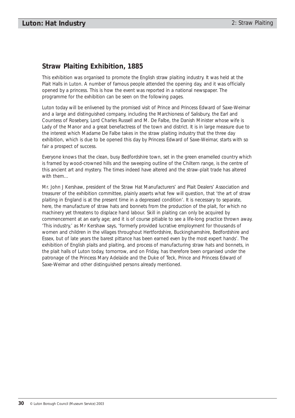# **Straw Plaiting Exhibition, 1885**

*This exhibition was organised to promote the English straw plaiting industry. It was held at the Plait Halls in Luton. A number of famous people attended the opening day, and it was officially opened by a princess. This is how the event was reported in a national newspaper. The programme for the exhibition can be seen on the following pages.*

Luton today will be enlivened by the promised visit of Prince and Princess Edward of Saxe-Weimar and a large and distinguished company, including the Marchioness of Salisbury, the Earl and Countess of Rosebery, Lord Charles Russell and M. De Falbe, the Danish Minister whose wife is Lady of the Manor and a great benefactress of the town and district. It is in large measure due to the interest which Madame De Falbe takes in the straw plaiting industry that the three day exhibition, which is due to be opened this day by Princess Edward of Saxe-Weimar, starts with so fair a prospect of success.

Everyone knows that the clean, busy Bedfordshire town, set in the green enamelled country which is framed by wood-crowned hills and the sweeping outline of the Chiltern range, is the centre of this ancient art and mystery. The times indeed have altered and the straw-plait trade has altered with them…

Mr. John J Kershaw, president of the Straw Hat Manufacturers' and Plait Dealers' Association and treasurer of the exhibition committee, plainly asserts what few will question, that 'the art of straw plaiting in England is at the present time in a depressed condition'. It is necessary to separate, here, the manufacture of straw hats and bonnets from the production of the plait, for which no machinery yet threatens to displace hand labour. Skill in plaiting can only be acquired by commencement at an early age; and it is of course pitiable to see a life-long practice thrown away. 'This industry,' as Mr Kershaw says, 'formerly provided lucrative employment for thousands of women and children in the villages throughout Hertfordshire, Buckinghamshire, Bedfordshire and Essex, but of late years the barest pittance has been earned even by the most expert hands'. The exhibition of English plaits and plaiting, and process of manufacturing straw hats and bonnets, in the plait halls of Luton today, tomorrow, and on Friday, has therefore been organised under the patronage of the Princess Mary Adelaide and the Duke of Teck, Prince and Princess Edward of Saxe-Weimar and other distinguished persons already mentioned.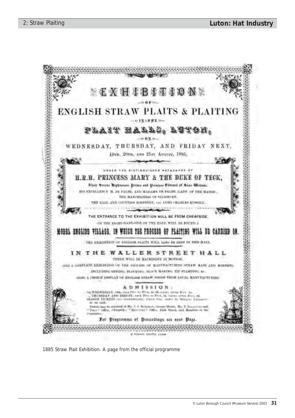

*1885 Straw Plait Exhibition. A page from the official programme*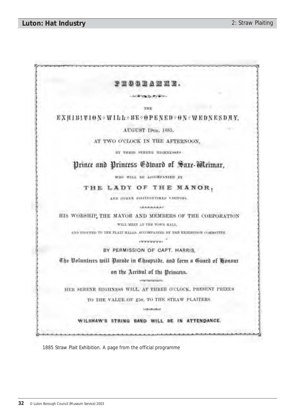**Luton: Hat Industry 2: Straw Plaiting** 

# ROBHANNE.

THE

1000000

# EXHIBITION · WILL: BE · OPENED · ON · WEDNESDAY.

AUGUST 19ru, 1885.

AT TWO O'CLOCK IN THE AFTERNOON.

BY THEIR SERENE HIGHNESSES

Prince and Princess Gdward of Saxe-determar.

WITH WILL BE ACCOMPANIED BY

THE LADY OF THE MANOR,

AND OVHER DISTINSIVISHED VISITORS.

HIS WORSHIP, THE MAYOR AND MEMBERS OF THE CORPORATION WILL MEET AF THE TOWN HALL.

 $1.1.1.1.1.1.1.1$ 

AND PIDETED TO THE PLAIT HALLS, ACCOMPANIED BY THE EXHIBITION COMMITTEE.

BY PERMISSION OF CAPT. HARRIS,

 $r = r + r + r$ 

The Yolunteers will Parade in Cheapside, and form a Guard of Honour

on the Arribal of the Princess.

HER SERENE HIGHNESS WILL, AT THREE O'CLOCK, PRESENT PRIZES TO THE VALUE OF £50. TO THE STRAW PLAITERS.

WILSHAW'S STRING BAND WILL BE IN ATTENDANCE.

*1885 Straw Plait Exhibition. A page from the official programme*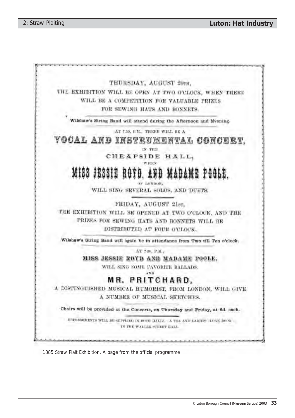

*1885 Straw Plait Exhibition. A page from the official programme*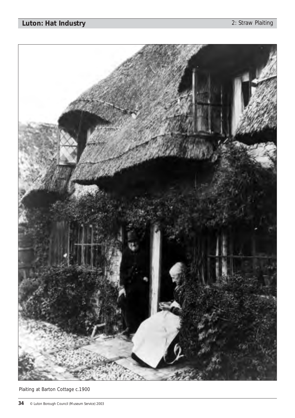

*Plaiting at Barton Cottage c.1900*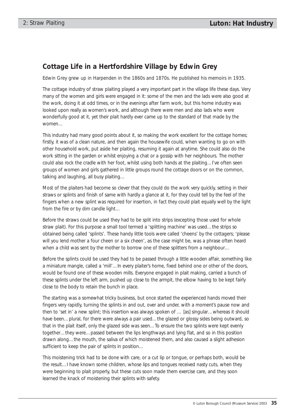# **Cottage Life in a Hertfordshire Village by Edwin Grey**

#### *Edwin Grey grew up in Harpenden in the 1860s and 1870s. He published his memoirs in 1935.*

The cottage industry of straw plaiting played a very important part in the village life these days. Very many of the women and girls were engaged in it: some of the men and the lads were also good at the work, doing it at odd times, or in the evenings after farm work, but this home industry was looked upon really as women's work, and although there were men and also lads who were wonderfully good at it, yet their plait hardly ever came up to the standard of that made by the women…

This industry had many good points about it, so making the work excellent for the cottage homes; firstly, it was of a clean nature, and then again the housewife could, when wanting to go on with other household work, put aside her plaiting, resuming it again at anytime. She could also do the work sitting in the garden or whilst enjoying a chat or a gossip with her neighbours. The mother could also rock the cradle with her foot, whilst using both hands at the plaiting…I've often seen groups of women and girls gathered in little groups round the cottage doors or on the common, talking and laughing, all busy plaiting…

Most of the plaiters had become so clever that they could do the work very quickly, setting in their straws or splints and finish of same with hardly a glance at it, for they could tell by the feel of the fingers when a new splint was required for insertion, in fact they could plait equally well by the light from the fire or by dim candle light…

Before the straws could be used they had to be split into strips (excepting those used for whole straw plait). For this purpose a small tool termed a 'splitting machine' was used…the strips so obtained being called 'splints'. These handy little tools were called 'cheens' by the cottagers; 'please will you lend mother a four cheen or a six cheen', as the case might be, was a phrase often heard when a child was sent by the mother to borrow one of these splitters from a neighbour...

Before the splints could be used they had to be passed through a little wooden affair, something like a miniature mangle, called a 'mill'…In every plaiter's home, fixed behind one or other of the doors, would be found one of these wooden mills. Everyone engaged in plait making, carried a bunch of these splints under the left arm, pushed up close to the armpit, the elbow having to be kept fairly close to the body to retain the bunch in place.

The starting was a somewhat tricky business, but once started the experienced hands moved their fingers very rapidly, turning the splints in and out, over and under, with a moment's pause now and then to 'set in' a new splint; this insertion was always spoken of … [as] singular…whereas it should have been...plural, for there were always a pair used...the glazed or glossy sides being outward, so that in the plait itself, only the glazed side was seen…To ensure the two splints were kept evenly together…they were…passed between the lips lengthways and lying flat, and so in this position drawn along…the mouth, the saliva of which moistened them, and also caused a slight adhesion sufficient to keep the pair of splints in position…

This moistening trick had to be done with care, or a cut lip or tongue, or perhaps both, would be the result…I have known some children, whose lips and tongues received nasty cuts, when they were beginning to plait properly, but these cuts soon made them exercise care, and they soon learned the knack of moistening their splints with safety.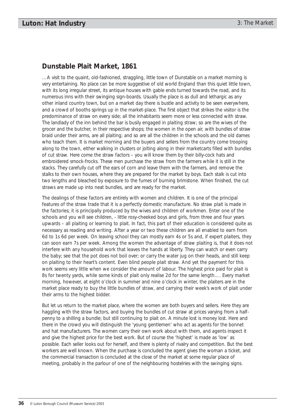# **Dunstable Plait Market, 1861**

…A visit to the quaint, old-fashioned, straggling, little town of Dunstable on a market morning is very entertaining. No place can be more suggestive of old world England than this quiet little town, with its long irregular street, its antique houses with gable ends turned towards the road, and its numerous inns with their swinging sign-boards. Usually the place is as dull and lethargic as any other inland country town, but on a market day there is bustle and activity to be seen everywhere, and a crowd of booths springs up in the market-place. The first object that strikes the visitor is the predominance of straw on every side; all the inhabitants seem more or less connected with straw. The landlady of the inn behind the bar is busily engaged in plaiting straw; so are the wives of the grocer and the butcher, in their respective shops; the women in the open air, with bundles of straw braid under their arms, are all plaiting; and so are all the children in the schools and the old dames who teach them. It is market morning and the buyers and sellers from the country come trooping along to the town, either walking in clusters or jolting along in their marketcarts filled with bundles of cut straw. Here come the straw factors – you will know them by their billy-cock hats and embroidered smock-frocks. These men purchase the straw from the farmers while it is still in the stacks. They carefully cut off the ears of corn and leave them with the farmers, and remove the stalks to their own houses, where they are prepared for the market by boys. Each stalk is cut into two lengths and bleached by exposure to the fumes of burning brimstone. When finished, the cut straws are made up into neat bundles, and are ready for the market.

The dealings of these factors are entirely with women and children. It is one of the principal features of the straw trade that it is a perfectly domestic manufacture. No straw plait is made in the factories; it is principally produced by the wives and children of workmen. Enter one of the schools and you will see children, - little rosy-cheeked boys and girls, from three and four years upwards – all plaiting or learning to plait. In fact, this part of their education is considered quite as necessary as reading and writing. After a year or two these children are all enabled to earn from 6d to 1s 6d per week. On leaving school they can mostly earn 4s or 5s and, if expert plaiters, they can soon earn 7s per week. Among the women the advantage of straw plaiting is, that it does not interfere with any household work that leaves the hands at liberty. They can watch or even carry the baby; see that the pot does not boil over; or carry the water jug on their heads, and still keep on plaiting to their heart's content. Even blind people plait straw. And yet the payment for this work seems very little when we consider the amount of labour. The highest price paid for plait is 8s for twenty yards, while some kinds of plait only realise 2d for the same length…. Every market morning, however, at eight o'clock in summer and nine o'clock in winter, the plaiters are in the market place ready to buy the little bundles of straw, and carrying their week's work of plait under their arms to the highest bidder.

But let us return to the market place, where the women are both buyers and sellers. Here they are haggling with the straw factors, and buying the bundles of cut straw at prices varying from a halfpenny to a shilling a bundle; but still continuing to plait on. A minute lost is money lost. Here and there in the crowd you will distinguish the 'young gentlemen' who act as agents for the bonnet and hat manufacturers. The women carry their own work about with them, and agents inspect it and give the highest price for the best work. But of course the 'highest' is made as 'low' as possible. Each seller looks out for herself, and there is plenty of rivalry and competition. But the best workers are well known. When the purchase is concluded the agent gives the woman a ticket, and the commercial transaction is concluded at the close of the market at some regular place of meeting, probably in the parlour of one of the neighbouring hostelries with the swinging signs.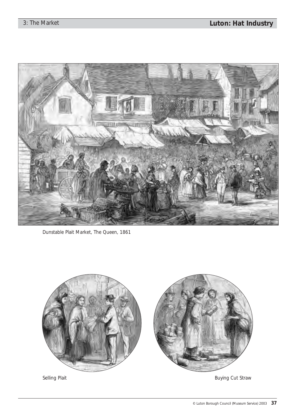

*Dunstable Plait Market, The Queen, 1861*



*Selling Plait Buying Cut Straw*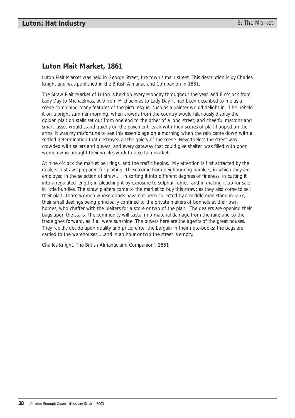# **Luton Plait Market, 1861**

*Luton Plait Market was held in George Street, the town's main street. This description is by Charles Knight and was published in the British Almanac and Companion in 1861.*

The Straw Plait Market of Luton is held on every Monday throughout the year, and 8 o'clock from Lady Day to Michaelmas, at 9 from Michaelmas to Lady Day. It had been described to me as a scene combining many features of the picturesque, such as a painter would delight in, if he beheld it on a bright summer morning, when crowds from the country would hilariously display the golden plait on stalls set out from one end to the other of a long street; and cheerful matrons and smart lasses would stand quietly on the pavement, each with their scores of plait hooped on their arms. It was my misfortune to see this assemblage on a morning when the rain came down with a settled determination that destroyed all the gaiety of the scene. Nevertheless the street was crowded with sellers and buyers, and every gateway that could give shelter, was filled with poor women who brought their week's work to a certain market.

At nine o'clock the market bell rings, and the traffic begins. My attention is first attracted by the dealers in straws prepared for plaiting. These come from neighbouring hamlets, in which they are employed in the selection of straw…, in sorting it into different degrees of fineness, in cutting it into a regulated length; in bleaching it by exposure to sulphur fumes; and in making it up for sale in little bundles. The straw plaiters come to the market to buy this straw; as they also come to sell their plait. Those women whose goods have not been collected by a middle-man stand in rank, their small dealings being principally confined to the private makers of bonnets at their own homes, who chaffer with the plaiters for a score or two of the plait. The dealers are opening their bags upon the stalls. The commodity will sustain no material damage from the rain; and so the trade goes forward, as if all were sunshine. The buyers here are the agents of the great houses. They rapidly decide upon quality and price; enter the bargain in their note-books; the bags are carried to the warehouses;....and in an hour or two the street is empty.

*Charles Knight, The British Almanac and Companion', 1861*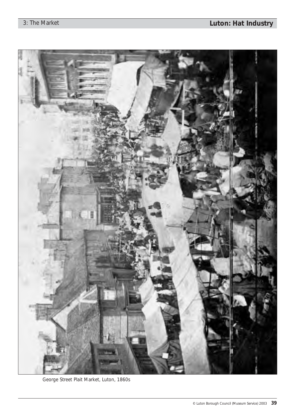

*George Street Plait Market, Luton, 1860s*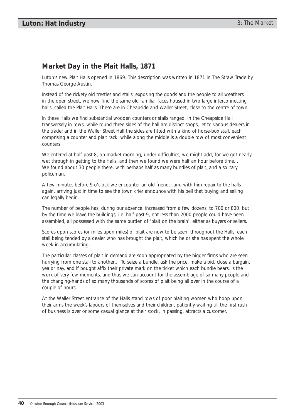# **Market Day in the Plait Halls, 1871**

*Luton's new Plait Halls opened in 1869. This description was written in 1871 in The Straw Trade by Thomas George Austin.*

Instead of the rickety old trestles and stalls, exposing the goods and the people to all weathers in the open street, we now find the same old familiar faces housed in two large interconnecting halls, called the Plait Halls. These are in Cheapside and Waller Street, close to the centre of town.

In these Halls we find substantial wooden counters or stalls ranged, in the Cheapside Hall transversely in rows, while round three sides of the hall are distinct shops, let to various dealers in the trade; and in the Waller Street Hall the sides are fitted with a kind of horse-box stall, each comprising a counter and plait rack; while along the middle is a double row of most convenient counters.

We entered at half-past 8, on market morning, under difficulties, we might add, for we got nearly wet through in getting to the Halls, and then we found we were half an hour before time… We found about 30 people there, with perhaps half as many bundles of plait, and a solitary policeman.

A few minutes before 9 o'clock we encounter an old friend…and with him repair to the halls again, arriving just in time to see the town crier announce with his bell that buying and selling can legally begin.

The number of people has, during our absence, increased from a few dozens, to 700 or 800, but by the time we leave the buildings, i.e. half-past 9, not less than 2000 people could have been assembled, all possessed with the same burden of 'plait on the brain', either as buyers or sellers.

Scores upon scores (or miles upon miles) of plait are now to be seen, throughout the Halls, each stall being tended by a dealer who has brought the plait, which he or she has spent the whole week in accumulating…

The particular classes of plait in demand are soon appropriated by the bigger firms who are seen hurrying from one stall to another... To seize a bundle, ask the price, make a bid, close a bargain, yea or nay, and if bought affix their private mark on the ticket which each bundle bears, is the work of very few moments, and thus we can account for the assemblage of so many people and the changing-hands of so many thousands of scores of plait being all over in the course of a couple of hours.

At the Waller Street entrance of the Halls stand rows of poor plaiting women who hoop upon their arms the week's labours of themselves and their children, patiently waiting till the first rush of business is over or some casual glance at their stock, in passing, attracts a customer.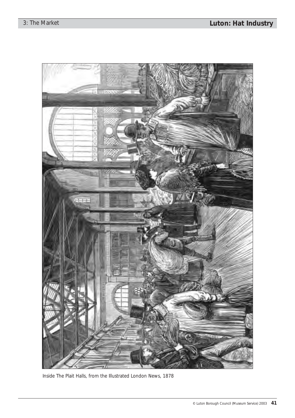

*Inside The Plait Halls, from the Illustrated London News, 1878*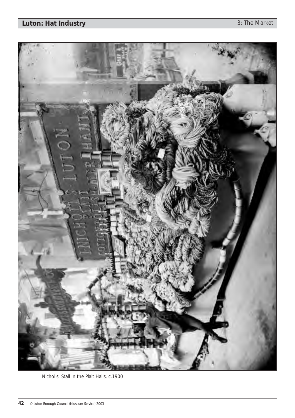

*Nicholls' Stall in the Plait Halls, c.1900*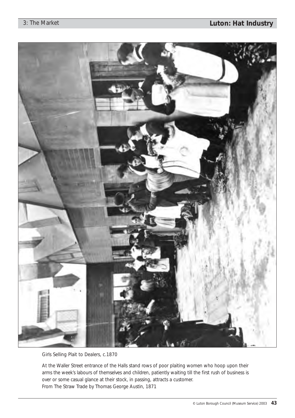

*Girls Selling Plait to Dealers, c.1870* 

At the Waller Street entrance of the Halls stand rows of poor plaiting women who hoop upon their arms the week's labours of themselves and children, patiently waiting till the first rush of business is over or some casual glance at their stock, in passing, attracts a customer. *From The Straw Trade by Thomas George Austin, 1871*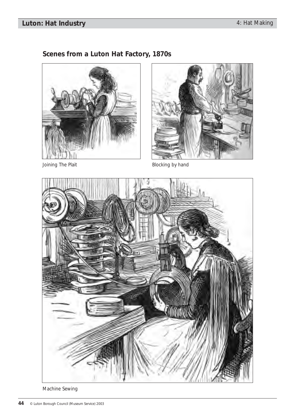# **Luton: Hat Industry** 4: Hat Making

# **Scenes from a Luton Hat Factory, 1870s**





*Joining The Plait Blocking by hand*



*Machine Sewing*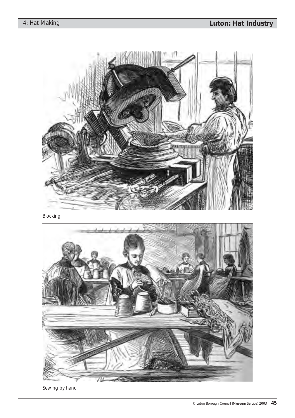



*Sewing by hand*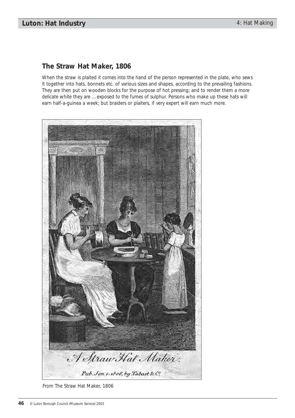# **The Straw Hat Maker, 1806**

When the straw is plaited it comes into the hand of the person represented in the plate, who sews it together into hats, bonnets etc. of various sizes and shapes, according to the prevailing fashions. They are then put on wooden blocks for the purpose of hot pressing; and to render them a more delicate white they are …exposed to the fumes of sulphur. Persons who make up these hats will earn half-a-guinea a week; but braiders or plaiters, if very expert will earn much more.



*From The Straw Hat Maker, 1806*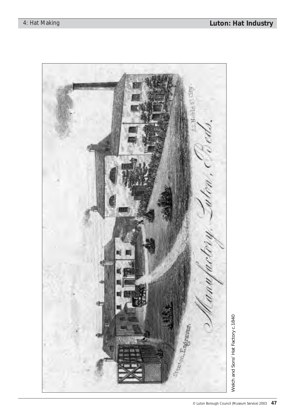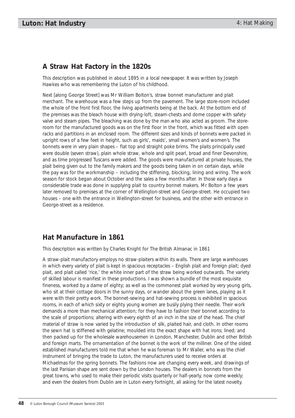# **A Straw Hat Factory in the 1820s**

*This description was published in about 1895 in a local newspaper. It was written by Joseph Hawkes who was remembering the Luton of his childhood.*

Next [along George Street] was Mr William Bolton's, straw bonnet manufacturer and plait merchant. The warehouse was a few steps up from the pavement. The large store-room included the whole of the front first floor, the living apartments being at the back. At the bottom end of the premises was the bleach house with drying-loft, steam-chests and dome copper with safety valve and steam pipes. The bleaching was done by the man who also acted as groom. The storeroom for the manufactured goods was on the first floor in the front, which was fitted with open racks and partitions in an enclosed room. The different sizes and kinds of bonnets were packed in upright rows of a few feet in height, such as girls', maids', small women's and women's. The bonnets were in very plain shapes – flat top and straight poke brims. The plaits principally used were double (seven straw), plain whole straw, whole and split pearl, broad and finer Devonshire, and as time progressed Tuscans were added. The goods were manufactured at private houses, the plait being given out to the family makers and the goods being taken in on certain days, while the pay was for the workmanship – including the stiffening, blocking, lining and wiring. The work season for stock began about October and the sales a few months after. In those early days a considerable trade was done in supplying plait to country bonnet makers. Mr Bolton a few years later removed to premises at the corner of Wellington-street and George-street. He occupied two houses – one with the entrance in Wellington-street for business, and the other with entrance in George-street as a residence.

# **Hat Manufacture in 1861**

*This description was written by Charles Knight for The British Almanac in 1861*

A straw-plait manufactory employs no straw-plaiters within its walls. There are large warehouses in which every variety of plait is kept in spacious receptacles – English plait and foreign plait; dyed plait, and plait called 'rice,' the white inner part of the straw being worked outwards. The variety of skilled labour is manifest in these productions. I was shown a bundle of the most exquisite fineness, worked by a dame of eighty; as well as the commonest plait worked by very young girls, who sit at their cottage doors in the sunny days, or wander about the green lanes, playing as it were with their pretty work. The bonnet-sewing and hat-sewing process is exhibited in spacious rooms, in each of which sixty or eighty young women are busily plying their needle. Their work demands a more than mechanical attention; for they have to fashion their bonnet according to the scale of proportions; altering with every eighth of an inch in the size of the head. The chief material of straw is now varied by the introduction of silk, plaited hair, and cloth. In other rooms the sewn hat is stiffened with gelatine; moulded into the exact shape with hat irons; lined; and then packed up for the wholesale warehousemen in London, Manchester, Dublin and other British and foreign marts. The ornamentation of the bonnet is the work of the milliner. One of the oldest established manufacturers told me that when he was foreman to Mr Waller, who was the chief instrument of bringing the trade to Luton, the manufacturers used to receive orders at Michaelmas for the spring bonnets. The fashions now are changing every week, and drawings of the last Parisian shape are sent down by the London houses. The dealers in bonnets from the great towns, who used to make their periodic visits quarterly or half-yearly, now come weekly; and even the dealers from Dublin are in Luton every fortnight, all asking for the latest novelty.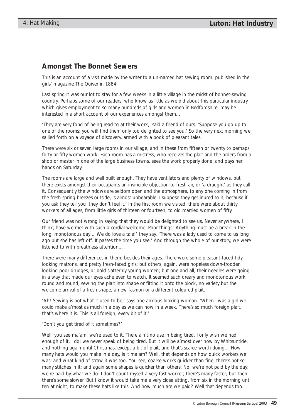# **Amongst The Bonnet Sewers**

*This is an account of a visit made by the writer to a un-named hat sewing room, published in the girls' magazine The Quiver in 1884.*

Last spring it was our lot to stay for a few weeks in a little village in the midst of bonnet-sewing country. Perhaps some of our readers, who know as little as we did about this particular industry, which gives employment to so many hundreds of girls and women in Bedfordshire, may be interested in a short account of our experiences amongst them…

'They are very fond of being read to at their work,' said a friend of ours. 'Suppose you go up to one of the rooms; you will find them only too delighted to see you.' So the very next morning we sallied forth on a voyage of discovery, armed with a book of pleasant tales.

There were six or seven large rooms in our village, and in these from fifteen or twenty to perhaps forty or fifty women work. Each room has a mistress, who receives the plait and the orders from a shop or master in one of the large business towns, sees the work properly done, and pays her hands on Saturday.

The rooms are large and well built enough. They have ventilators and plenty of windows, but there exists amongst their occupants an invincible objection to fresh air, or 'a draught' as they call it. Consequently the windows are seldom open and the atmosphere, to any one coming in from the fresh spring breezes outside, is almost unbearable. I suppose they get inured to it, because if you ask they tell you 'they don't feel it.' In the first room we visited, there were about thirty workers of all ages, from little girls of thirteen or fourteen, to old married women of fifty.

Our friend was not wrong in saying that they would be delighted to see us. Never anywhere, I think, have we met with such a cordial welcome. Poor things! Anything must be a break in the long, monotonous day…'We do love a tale!' they say. 'There was a lady used to come to us long ago but she has left off. It passes the time you see.' And through the whole of our story, we were listened to with breathless attention….

There were many differences in them, besides their ages. There were some pleasant faced tidylooking matrons, and pretty fresh-faced girls; but others, again, were hopeless down-trodden looking poor drudges, or bold slatternly young women; but one and all, their needles were going in a way that made our eyes ache even to watch. It seemed such dreary and monotonous work, round and round, sewing the plait into shape or fitting it onto the block, no variety but the welcome arrival of a fresh shape, a new fashion or a different coloured plait.

'Ah! Sewing is not what it used to be,' says one anxious-looking woman. 'When I was a girl we could make a'most as much in a day as we can now in a week. There's so much foreign plait, that's where it is. This is all foreign, every bit of it.'

'Don't you get tired of it sometimes?'

Well, you see ma'am, we're used to it. There ain't no use in being tired. I only wish we had enough of it, I do; we never speak of being tired. But it will be a'most over now by Whitsuntide, and nothing again until Christmas, except a bit of plait, and that's scarce worth doing….How many hats would you make in a day, is it ma'am? Well, that depends on how quick workers we was, and what kind of straw it was too. You see, coarse works quicker than fine; there's not so many stitches in it; and again some shapes is quicker than others. No, we're not paid by the day; we're paid by what we do. I don't count myself a very fast worker; there's many faster; but then there's some slower. But I know it would take me a very close sitting, from six in the morning until ten at night, to make these hats like this. And how much are we paid? Well that depends too.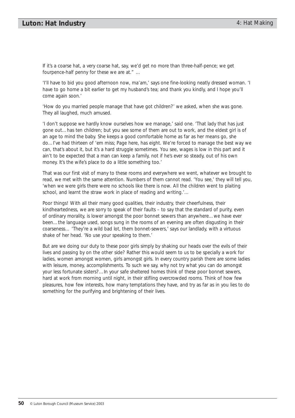If it's a coarse hat, a very coarse hat, say, we'd get no more than three-half-pence; we get fourpence-half penny for these we are at." …

'I'll have to bid you good afternoon now, ma'am,' says one fine-looking neatly dressed woman. 'I have to go home a bit earlier to get my husband's tea; and thank you kindly, and I hope you'll come again soon.'

'How do you married people manage that have got children?' we asked, when she was gone. They all laughed, much amused.

'I don't suppose we hardly know ourselves how we manage,' said one. 'That lady that has just gone out…has ten children; but you see some of them are out to work, and the eldest girl is of an age to mind the baby. She keeps a good comfortable home as far as her means go, she do…I've had thirteen of 'em miss; Page here, has eight. We're forced to manage the best way we can, that's about it, but it's a hard struggle sometimes. You see, wages is low in this part and it ain't to be expected that a man can keep a family, not if he's ever so steady, out of his own money. It's the wife's place to do a little something too.'

That was our first visit of many to these rooms and everywhere we went, whatever we brought to read, we met with the same attention. Numbers of them cannot read. 'You see,' they will tell you, 'when we were girls there were no schools like there is now. All the children went to plaiting school, and learnt the straw work in place of reading and writing.'...

Poor things! With all their many good qualities, their industry, their cheerfulness, their kindheartedness, we are sorry to speak of their faults – to say that the standard of purity, even of ordinary morality, is lower amongst the poor bonnet sewers than anywhere…we have ever been…the language used, songs sung in the rooms of an evening are often disgusting in their coarseness… 'They're a wild bad lot, them bonnet-sewers,' says our landlady, with a virtuous shake of her head. 'No use your speaking to them.'

But are we doing our duty to these poor girls simply by shaking our heads over the evils of their lives and passing by on the other side? Rather this would seem to us to be specially a work for ladies, women amongst women, girls amongst girls. In every country parish there are some ladies with leisure, money, accomplishments. To such we say, why not try what you can do amongst your less fortunate sisters?…In your safe sheltered homes think of these poor bonnet sewers, hard at work from morning until night, in their stifling overcrowded rooms. Think of how few pleasures, how few interests, how many temptations they have, and try as far as in you lies to do something for the purifying and brightening of their lives.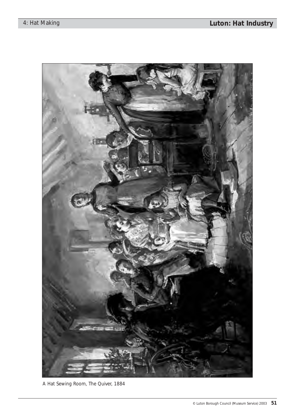

*A Hat Sewing Room, The Quiver, 1884*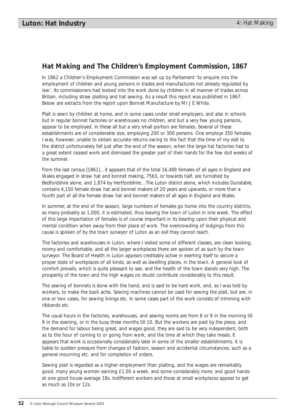# **Hat Making and The Children's Employment Commission, 1867**

*In 1862 a Children's Employment Commission was set up by Parliament 'to enquire into the employment of children and young persons in trades and manufactures not already regulated by law'. Its commissioners had looked into the work done by children in all manner of trades across Britain, including straw plaiting and hat sewing. As a result this report was published in 1867. Below are extracts from the report upon Bonnet Manufacture by Mr J E White.*

Plait is sewn by children at home, and in some cases under small employers, and also in schools but in regular bonnet factories or warehouses no children, and but a very few young persons, appear to be employed. In these all but a very small portion are females. Several of these establishments are of considerable size, employing 200 or 300 persons. One employs 350 females. I was, however, unable to obtain accurate returns owing to the fact that the time of my visit to the district unfortunately fell just after the end of the season, when the large hat factories had to a great extent ceased work and dismissed the greater part of their hands for the few dull weeks of the summer.

From the last census [1861]…it appears that of the total 16,489 females of all ages in England and Wales engaged in straw hat and bonnet making, 7563, or towards half, are furnished by Bedfordshire alone, and 1,874 by Hertfordshire…The Luton district alone, which includes Dunstable, contains 4,150 female straw hat and bonnet makers of 20 years and upwards, or more than a fourth part of all the female straw hat and bonnet makers of all ages in England and Wales.

In summer, at the end of the season, large numbers of females go home into the country districts, as many probably as 1,000, it is estimated, thus leaving the town of Luton in one week. The effect of this large importation of females is of course important in its bearing upon their physical and mental condition when away from their place of work. The overcrowding of lodgings from this cause is spoken of by the town surveyor of Luton as an evil they cannot reach.

The factories and warehouses in Luton, where I visited some of different classes, are clean looking, roomy and comfortable, and all the larger workplaces there are spoken of as such by the town surveyor. The Board of Health in Luton appears creditably active in exerting itself to secure a proper state of workplaces of all kinds, as well as dwelling places, in the town. A general look of comfort prevails, which is quite pleasant to see, and the health of the town stands very high. The prosperity of the town and the high wages no doubt contribute considerably to this result.

The sewing of bonnets is done with the hand, and is said to be hard work, and, as I was told by workers, to make the back ache. Sewing machines cannot be used for sewing the plait, but are, in one or two cases, for sewing linings etc. In some cases part of the work consists of trimming with ribbands etc.

The usual hours in the factories, warehouses, and sewing rooms are from 8 or 9 in the morning till 9 in the evening, or in the busy three months till 10. But the workers are paid by the piece, and the demand for labour being great, and wages good, they are said to be very independent, both as to the hour of coming to or going from work, and the time at which they take meals. It appears that work is occasionally considerably later in some of the smaller establishments. It is liable to sudden pressure from changes of fashion, season and accidental circumstances, such as a general mourning etc. and for completion of orders.

Sewing plait is regarded as a higher employment than plaiting, and the wages are remarkably good, many young women earning £1.00 a week, and some considerably more; and good hands at one good house average 18s. Indifferent workers and those at small workplaces appear to get as much as 10s or 12s.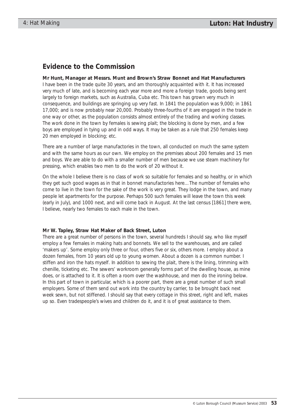# **Evidence to the Commission**

**Mr Hunt, Manager at Messrs. Munt and Brown's Straw Bonnet and Hat Manufacturers**

I have been in the trade quite 30 years, and am thoroughly acquainted with it. It has increased very much of late, and is becoming each year more and more a foreign trade, goods being sent largely to foreign markets, such as Australia, Cuba etc. This town has grown very much in consequence, and buildings are springing up very fast. In 1841 the population was 9,000; in 1861 17,000; and is now probably near 20,000. Probably three-fourths of it are engaged in the trade in one way or other, as the population consists almost entirely of the trading and working classes. The work done in the town by females is sewing plait; the blocking is done by men, and a few boys are employed in tying up and in odd ways. It may be taken as a rule that 250 females keep 20 men employed in blocking; etc.

There are a number of large manufactories in the town, all conducted on much the same system and with the same hours as our own. We employ on the premises about 200 females and 15 men and boys. We are able to do with a smaller number of men because we use steam machinery for pressing, which enables two men to do the work of 20 without it.

On the whole I believe there is no class of work so suitable for females and so healthy, or in which they get such good wages as in that in bonnet manufactories here…The number of females who come to live in the town for the sake of the work is very great. They lodge in the town, and many people let apartments for the purpose. Perhaps 500 such females will leave the town this week (early in July), and 1000 next, and will come back in August. At the last census [1861] there were, I believe, nearly two females to each male in the town.

#### **Mr W. Tapley, Straw Hat Maker of Back Street, Luton**

There are a great number of persons in the town, several hundreds I should say, who like myself employ a few females in making hats and bonnets. We sell to the warehouses, and are called 'makers up'. Some employ only three or four, others five or six, others more. I employ about a dozen females, from 10 years old up to young women. About a dozen is a common number. I stiffen and iron the hats myself. In addition to sewing the plait, there is the lining, trimming with chenille, ticketing etc. The sewers' workroom generally forms part of the dwelling house, as mine does, or is attached to it. It is often a room over the washhouse, and men do the ironing below. In this part of town in particular, which is a poorer part, there are a great number of such small employers. Some of them send out work into the country by carrier, to be brought back next week sewn, but not stiffened. I should say that every cottage in this street, right and left, makes up so. Even tradespeople's wives and children do it, and it is of great assistance to them.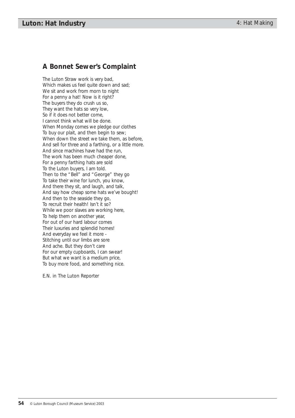# **A Bonnet Sewer's Complaint**

The Luton Straw work is very bad, Which makes us feel quite down and sad; We sit and work from morn to night For a penny a hat! Now is it right? The buyers they do crush us so, They want the hats so very low, So if it does not better come, I cannot think what will be done. When Monday comes we pledge our clothes To buy our plait, and then begin to sew; When down the street we take them, as before, And sell for three and a farthing, or a little more. And since machines have had the run, The work has been much cheaper done, For a penny farthing hats are sold To the Luton buyers, I am told. Then to the "Bell" and "George" they go To take their wine for lunch, you know, And there they sit, and laugh, and talk, And say how cheap some hats we've bought! And then to the seaside they go, To recruit their health! Isn't it so? While we poor slaves are working here, To help them on another year, For out of our hard labour comes Their luxuries and splendid homes! And everyday we feel it more - Stitching until our limbs are sore And ache. But they don't care For our empty cupboards, I can swear! But what we want is a medium price, To buy more food, and something nice.

*E.N. in The Luton Reporter*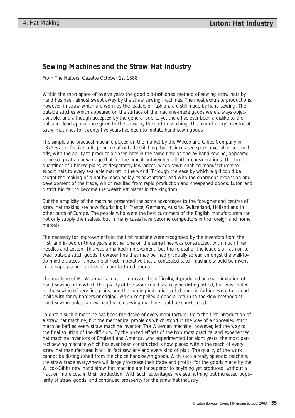# **Sewing Machines and the Straw Hat Industry**

*From The Hatters' Gazette October 1st 1888*

Within the short space of twelve years the good old-fashioned method of sewing straw hats by hand has been almost swept away by the straw sewing machines. The most exquisite productions, however, in straw which are worn by the leaders of fashion, are still made by hand-sewing. The outside stitches which appeared on the surface of the machine-made goods were always objectionable, and although accepted by the general public, yet there has ever been a dislike to the dull and dead appearance given to the straw by the cotton stitching. The aim of every inventor of straw machines for twenty-five years has been to imitate hand-sewn goods.

The simple and practical machine placed on the market by the Wilcox and Gibbs Company in 1875 was defective in its principle of outside stitching, but its increased speed over all other methods, with the ability to produce a dozen hats in the same time as one by hand-sewing, appeared to be so great an advantage that for the time it outweighed all other considerations. The large quantities of Chinese plaits, at desperately low prices, when sewn enabled manufacturers to export hats to every available market in the world. Through the ease by which a girl could be taught the making of a hat by machine lay its advantages, and with the enormous expansion and development of the trade, which resulted from rapid production and cheapened goods, Luton and district bid fair to become the wealthiest places in the kingdom.

But the simplicity of the machine presented the same advantages to the foreigner and centres of straw hat making are now flourishing in France, Germany, Austria, Switzerland, Holland and in other parts of Europe. The people who were the best customers of the English manufacturers can not only supply themselves, but in many cases have become competitors in the foreign and home markets.

The necessity for improvements in the first machine were recognised by the inventors from the first, and in two or three years another one on the same lines was constructed, with much finer needles and cotton. This was a marked improvement, but the refusal of the leaders of fashion to wear outside stitch goods, however fine they may be, had gradually spread amongst the well-todo middle classes. It became almost imperative that a concealed stitch machine should be invented to supply a better class of manufactured goods.

The machine of Mr Wiseman almost compassed the difficulty; it produced an exact imitation of hand-sewing from which the quality of the work could scarcely be distinguished, but was limited to the sewing of very fine plaits, and the coming indications of change in fashion were for broad plaits with fancy borders or edging, which compelled a general return to the slow methods of hand-sewing unless a new hand-stitch sewing machine could be constructed.

To obtain such a machine has been the desire of every manufacturer from the first introduction of a straw hat machine, but the mechanical problems which stood in the way of a concealed stitch machine baffled every straw machine inventor. The Wiseman machine, however, led the way to the final solution of the difficulty. By the united efforts of the two most practical and experienced hat machine inventors of England and America, who experimented for eight years, the most perfect sewing machine which has ever been constructed is now placed within the reach of every straw hat manufacturer. It will in fact sew any and every kind of plait. The quality of the work cannot be distinguished from the choice hand-sewn goods. With such a really splendid machine, the straw trade everywhere will largely increase their trade and profits, for the goods made by the Wilcox-Gibbs new hand straw hat machine are far superior to anything yet produced, without a fraction more cost in their production. With such advantages, we see nothing but increased popularity of straw goods, and continued prosperity for the straw hat industry.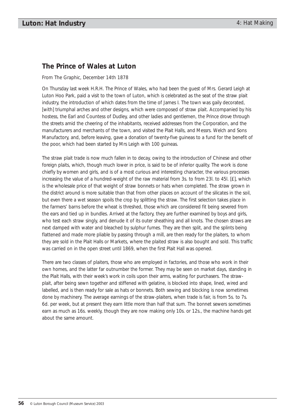# **The Prince of Wales at Luton**

# *From The Graphic, December 14th 1878*

On Thursday last week H.R.H. The Prince of Wales, who had been the guest of Mrs. Gerard Leigh at Luton Hoo Park, paid a visit to the town of Luton, which is celebrated as the seat of the straw plait industry, the introduction of which dates from the time of James I. The town was gaily decorated, [with] triumphal arches and other designs, which were composed of straw plait. Accompanied by his hostess, the Earl and Countess of Dudley, and other ladies and gentlemen, the Prince drove through the streets amid the cheering of the inhabitants, received addresses from the Corporation, and the manufacturers and merchants of the town, and visited the Plait Halls, and Messrs. Welch and Sons Manufactory, and, before leaving, gave a donation of twenty-five guineas to a fund for the benefit of the poor, which had been started by Mrs Leigh with 100 guineas.

The straw plait trade is now much fallen in to decay, owing to the introduction of Chinese and other foreign plaits, which, though much lower in price, is said to be of inferior quality. The work is done chiefly by women and girls, and is of a most curious and interesting character, the various processes increasing the value of a hundred-weight of the raw material from 3s. to from 23l. to 45l. [£], which is the wholesale price of that weight of straw bonnets or hats when completed. The straw grown in the district around is more suitable than that from other places on account of the silicates in the soil, but even there a wet season spoils the crop by splitting the straw. The first selection takes place in the farmers' barns before the wheat is threshed, those which are considered fit being severed from the ears and tied up in bundles. Arrived at the factory, they are further examined by boys and girls, who test each straw singly, and denude it of its outer sheathing and all knots. The chosen straws are next damped with water and bleached by sulphur fumes. They are then split, and the splints being flattened and made more pliable by passing through a mill, are then ready for the plaiters, to whom they are sold in the Plait Halls or Markets, where the plaited straw is also bought and sold. This traffic was carried on in the open street until 1869, when the first Plait Hall was opened.

There are two classes of plaiters, those who are employed in factories, and those who work in their own homes, and the latter far outnumber the former. They may be seen on market days, standing in the Plait Halls, with their week's work in coils upon their arms, waiting for purchasers. The strawplait, after being sewn together and stiffened with gelatine, is blocked into shape, lined, wired and labelled, and is then ready for sale as hats or bonnets. Both sewing and blocking is now sometimes done by machinery. The average earnings of the straw-plaiters, when trade is fair, is from 5s. to 7s. 6d. per week, but at present they earn little more than half that sum. The bonnet sewers sometimes earn as much as 16s. weekly, though they are now making only 10s. or 12s., the machine hands get about the same amount.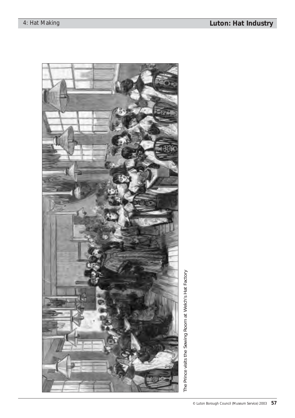

The Prince visits the Sewing Room at Welch's Hat Factory *The Prince visits the Sewing Room at Welch's Hat Factory*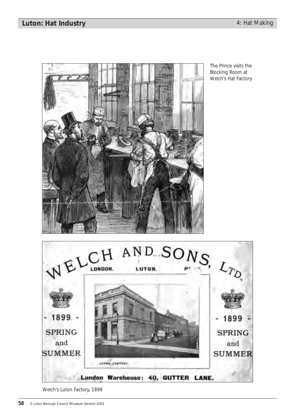

*The Prince visits the Blocking Room at Welch's Hat Factory*



*Welch's Luton Factory, 1899*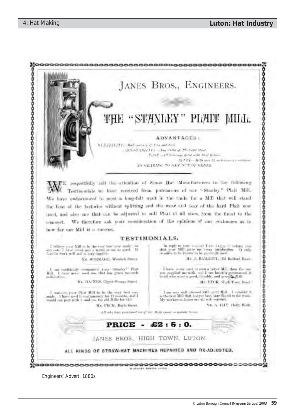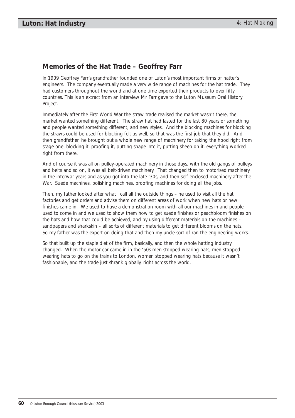# **Memories of the Hat Trade – Geoffrey Farr**

*In 1909 Geoffrey Farr's grandfather founded one of Luton's most important firms of hatter's engineers. The company eventually made a very wide range of machines for the hat trade. They had customers throughout the world and at one time exported their products to over fifty countries. This is an extract from an interview Mr Farr gave to the Luton Museum Oral History Project.*

Immediately after the First World War the straw trade realised the market wasn't there, the market wanted something different. The straw hat had lasted for the last 80 years or something and people wanted something different, and new styles. And the blocking machines for blocking the straws could be used for blocking felt as well, so that was the first job that they did. And then grandfather, he brought out a whole new range of machinery for taking the hood right from stage one, blocking it, proofing it, putting shape into it, putting sheen on it, everything worked right from there.

And of course it was all on pulley-operated machinery in those days, with the old gangs of pulleys and belts and so on, it was all belt-driven machinery. That changed then to motorised machinery in the interwar years and as you got into the late '30s, and then self-enclosed machinery after the War. Suede machines, polishing machines, proofing machines for doing all the jobs.

Then, my father looked after what I call all the outside things – he used to visit all the hat factories and get orders and advise them on different areas of work when new hats or new finishes came in. We used to have a demonstration room with all our machines in and people used to come in and we used to show them how to get suede finishes or peachbloom finishes on the hats and how that could be achieved, and by using different materials on the machines – sandpapers and sharkskin – all sorts of different materials to get different blooms on the hats. So my father was the expert on doing that and then my uncle sort of ran the engineering works.

So that built up the staple diet of the firm, basically, and then the whole hatting industry changed. When the motor car came in in the '50s men stopped wearing hats, men stopped wearing hats to go on the trains to London, women stopped wearing hats because it wasn't fashionable, and the trade just shrank globally, right across the world.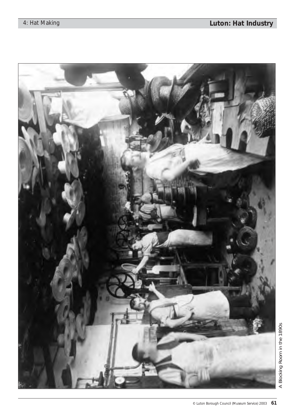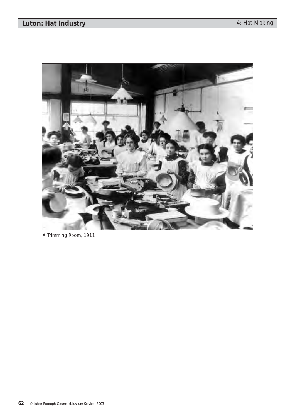

```
A Trimming Room, 1911
```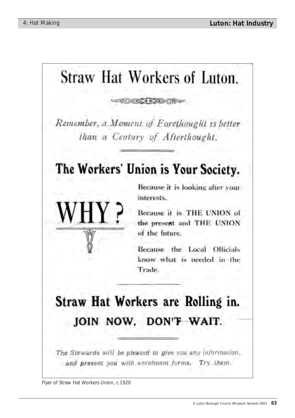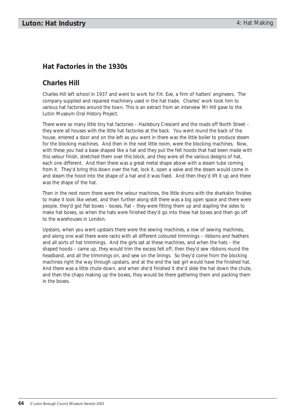# **Hat Factories in the 1930s**

# **Charles Hill**

*Charles Hill left school in 1937 and went to work for F.H. Eve, a firm of hatters' engineers. The company supplied and repaired machinery used in the hat trade. Charles' work took him to various hat factories around the town. This is an extract from an interview Mr Hill gave to the Luton Museum Oral History Project.*

There were so many little tiny hat factories – Hazlebury Crescent and the roads off North Street – they were all houses with the little hat factories at the back. You went round the back of the house, entered a door and on the left as you went in there was the little boiler to produce steam for the blocking machines. And then in the next little room, were the blocking machines. Now, with these you had a base shaped like a hat and they put the felt hoods that had been made with this velour finish, stretched them over this block, and they were all the various designs of hat, each one different. And then there was a great metal shape above with a steam tube coming from it. They'd bring this down over the hat, lock it, open a valve and the steam would come in and steam the hood into the shape of a hat and it was fixed. And then they'd lift it up and there was the shape of the hat.

Then in the next room there were the velour machines, the little drums with the sharkskin finishes to make it look like velvet, and then further along still there was a big open space and there were people, they'd got flat boxes – boxes, flat – they were fitting them up and stapling the sides to make hat boxes, so when the hats were finished they'd go into these hat boxes and then go off to the warehouses in London.

Upstairs, when you went upstairs there were the sewing machines, a row of sewing machines, and along one wall there were racks with all different coloured trimmings – ribbons and feathers and all sorts of hat trimmings. And the girls sat at these machines, and when the hats – the shaped hoods – came up, they would trim the excess felt off, then they'd sew ribbons round the headband, and all the trimmings on, and sew on the linings. So they'd come from the blocking machines right the way through upstairs, and at the end the last girl would have the finished hat. And there was a little chute down, and when she'd finished it she'd slide the hat down the chute, and then the chaps making up the boxes, they would be there gathering them and packing them in the boxes.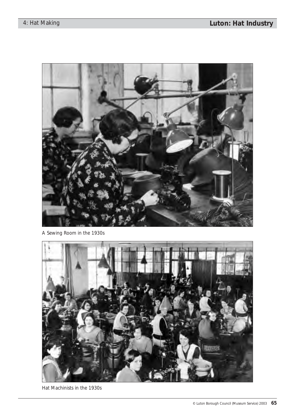

*A Sewing Room in the 1930s*



*Hat Machinists in the 1930s*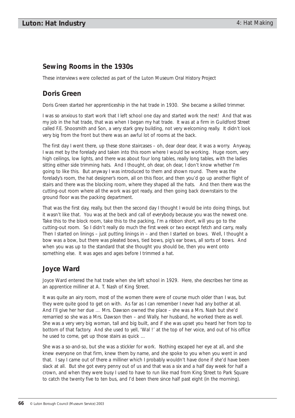# **Sewing Rooms in the 1930s**

*These interviews were collected as part of the Luton Museum Oral History Project*

# **Doris Green**

## *Doris Green started her apprenticeship in the hat trade in 1930. She became a skilled trimmer.*

I was so anxious to start work that I left school one day and started work the next! And that was my job in the hat trade, that was when I began my hat trade. It was at a firm in Guildford Street called F.E. Shoosmith and Son, a very stark grey building, not very welcoming really. It didn't look very big from the front but there was an awful lot of rooms at the back.

The first day I went there, up these stone staircases – oh, dear dear dear, it was a worry. Anyway, I was met by the forelady and taken into this room where I would be working. Huge room, very high ceilings, low lights, and there was about four long tables, really long tables, with the ladies sitting either side trimming hats. And I thought, oh dear, oh dear, I don't know whether I'm going to like this. But anyway I was introduced to them and shown round. There was the forelady's room, the hat designer's room, all on this floor, and then you'd go up another flight of stairs and there was the blocking room, where they shaped all the hats. And then there was the cutting-out room where all the work was got ready, and then going back downstairs to the ground floor was the packing department.

That was the first day, really, but then the second day I thought I would be into doing things, but it wasn't like that. You was at the beck and call of everybody because you was the newest one. Take this to the block room, take this to the packing, I'm a ribbon short, will you go to the cutting-out room. So I didn't really do much the first week or two except fetch and carry, really. Then I started on linings – just putting linings in – and then I started on bows. Well, I thought a bow was a bow, but there was pleated bows, tied bows, pig's ear bows, all sorts of bows. And when you was up to the standard that she thought you should be, then you went onto something else. It was ages and ages before I trimmed a hat.

# **Joyce Ward**

*Joyce Ward entered the hat trade when she left school in 1929. Here, she describes her time as an apprentice milliner at A. T. Nash of King Street.*

It was quite an airy room, most of the women there were of course much older than I was, but they were quite good to get on with. As far as I can remember I never had any bother at all. And I'll give her her due … Mrs. Dawson owned the place – she was a Mrs. Nash but she'd remarried so she was a Mrs. Dawson then – and Wally, her husband, he worked there as well. She was a very very big woman, tall and big built, and if she was upset you heard her from top to bottom of that factory. And she used to yell, 'Wal !' at the top of her voice, and out of his office he used to come, get up those stairs as quick …

She was a so-and-so, but she was a stickler for work. Nothing escaped her eye at all, and she knew everyone on that firm, knew them by name, and she spoke to you when you went in and that. I say I came out of there a milliner which I probably wouldn't have done if she'd have been slack at all. But she got every penny out of us and that was a six and a half day week for half a crown, and when they were busy I used to have to run like mad from King Street to Park Square to catch the twenty five to ten bus, and I'd been there since half past eight (in the morning).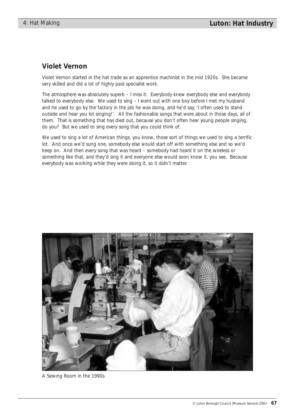# **Violet Vernon**

*Violet Vernon started in the hat trade as an apprentice machinist in the mid 1920s. She became very skilled and did a lot of highly paid specialist work.* 

The atmosphere was absolutely superb – I miss it. Everybody knew everybody else and everybody talked to everybody else. We used to sing – I went out with one boy before I met my husband and he used to go by the factory in the job he was doing, and he'd say, 'I often used to stand outside and hear you lot singing!'. All the fashionable songs that were about in those days, all of them. That is something that has died out, because you don't often hear young people singing, do you? But we used to sing every song that you could think of.

We used to sing a lot of American things, you know, those sort of things we used to sing a terrific lot. And once we'd sung one, somebody else would start off with something else and so we'd keep on. And then every song that was heard – somebody had heard it on the wireless or something like that, and they'd sing it and everyone else would soon know it, you see. Because everybody was working while they were doing it, so it didn't matter.



*A Sewing Room in the 1990s*